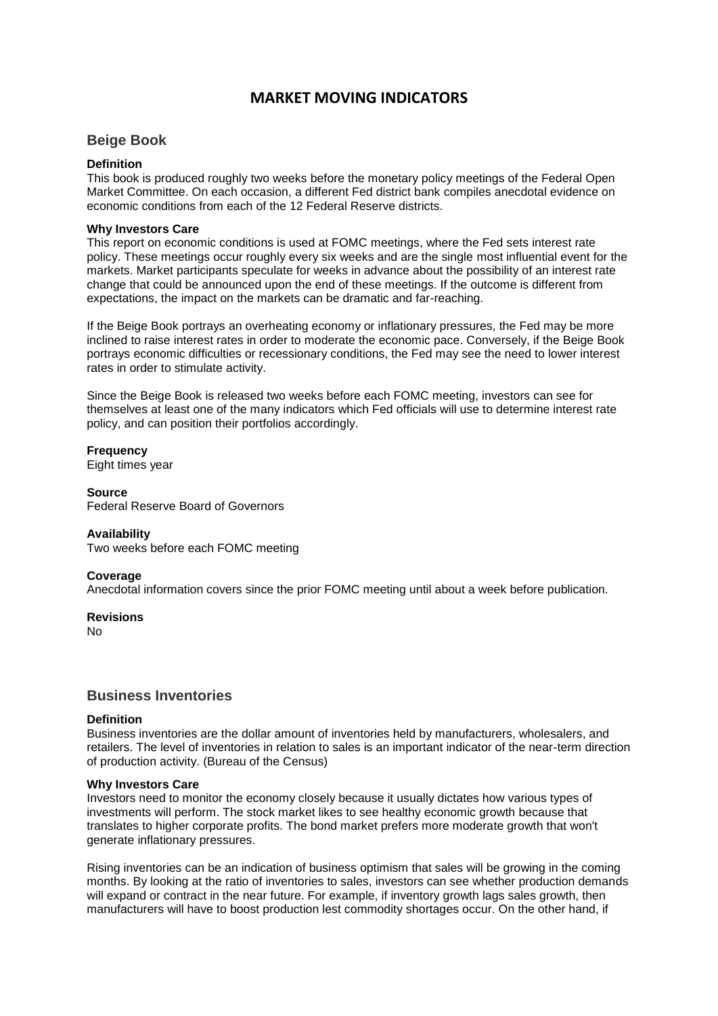# **MARKET MOVING INDICATORS**

# **Beige Book**

# **Definition**

This book is produced roughly two weeks before the monetary policy meetings of the Federal Open Market Committee. On each occasion, a different Fed district bank compiles anecdotal evidence on economic conditions from each of the 12 Federal Reserve districts.

## **Why Investors Care**

This report on economic conditions is used at FOMC meetings, where the Fed sets interest rate policy. These meetings occur roughly every six weeks and are the single most influential event for the markets. Market participants speculate for weeks in advance about the possibility of an interest rate change that could be announced upon the end of these meetings. If the outcome is different from expectations, the impact on the markets can be dramatic and far-reaching.

If the Beige Book portrays an overheating economy or inflationary pressures, the Fed may be more inclined to raise interest rates in order to moderate the economic pace. Conversely, if the Beige Book portrays economic difficulties or recessionary conditions, the Fed may see the need to lower interest rates in order to stimulate activity.

Since the Beige Book is released two weeks before each FOMC meeting, investors can see for themselves at least one of the many indicators which Fed officials will use to determine interest rate policy, and can position their portfolios accordingly.

**Frequency**

Eight times year

**Source** Federal Reserve Board of Governors

## **Availability**

Two weeks before each FOMC meeting

## **Coverage**

Anecdotal information covers since the prior FOMC meeting until about a week before publication.

**Revisions**

No

# **Business Inventories**

## **Definition**

Business inventories are the dollar amount of inventories held by manufacturers, wholesalers, and retailers. The level of inventories in relation to sales is an important indicator of the near-term direction of production activity. (Bureau of the Census)

## **Why Investors Care**

Investors need to monitor the economy closely because it usually dictates how various types of investments will perform. The stock market likes to see healthy economic growth because that translates to higher corporate profits. The bond market prefers more moderate growth that won't generate inflationary pressures.

Rising inventories can be an indication of business optimism that sales will be growing in the coming months. By looking at the ratio of inventories to sales, investors can see whether production demands will expand or contract in the near future. For example, if inventory growth lags sales growth, then manufacturers will have to boost production lest commodity shortages occur. On the other hand, if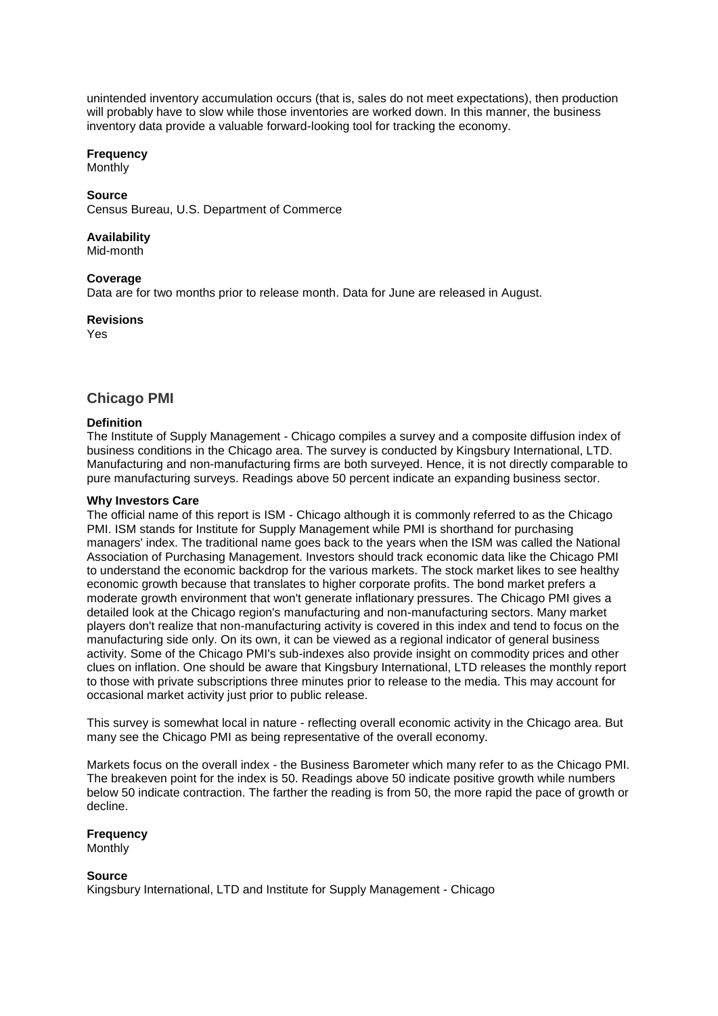unintended inventory accumulation occurs (that is, sales do not meet expectations), then production will probably have to slow while those inventories are worked down. In this manner, the business inventory data provide a valuable forward-looking tool for tracking the economy.

# **Frequency**

**Monthly** 

## **Source**

Census Bureau, U.S. Department of Commerce

# **Availability**

Mid-month

# **Coverage**

Data are for two months prior to release month. Data for June are released in August.

**Revisions**

Yes

# **Chicago PMI**

# **Definition**

The Institute of Supply Management - Chicago compiles a survey and a composite diffusion index of business conditions in the Chicago area. The survey is conducted by Kingsbury International, LTD. Manufacturing and non-manufacturing firms are both surveyed. Hence, it is not directly comparable to pure manufacturing surveys. Readings above 50 percent indicate an expanding business sector.

# **Why Investors Care**

The official name of this report is ISM - Chicago although it is commonly referred to as the Chicago PMI. ISM stands for Institute for Supply Management while PMI is shorthand for purchasing managers' index. The traditional name goes back to the years when the ISM was called the National Association of Purchasing Management. Investors should track economic data like the Chicago PMI to understand the economic backdrop for the various markets. The stock market likes to see healthy economic growth because that translates to higher corporate profits. The bond market prefers a moderate growth environment that won't generate inflationary pressures. The Chicago PMI gives a detailed look at the Chicago region's manufacturing and non-manufacturing sectors. Many market players don't realize that non-manufacturing activity is covered in this index and tend to focus on the manufacturing side only. On its own, it can be viewed as a regional indicator of general business activity. Some of the Chicago PMI's sub-indexes also provide insight on commodity prices and other clues on inflation. One should be aware that Kingsbury International, LTD releases the monthly report to those with private subscriptions three minutes prior to release to the media. This may account for occasional market activity just prior to public release.

This survey is somewhat local in nature - reflecting overall economic activity in the Chicago area. But many see the Chicago PMI as being representative of the overall economy.

Markets focus on the overall index - the Business Barometer which many refer to as the Chicago PMI. The breakeven point for the index is 50. Readings above 50 indicate positive growth while numbers below 50 indicate contraction. The farther the reading is from 50, the more rapid the pace of growth or decline.

# **Frequency**

Monthly

## **Source**

Kingsbury International, LTD and Institute for Supply Management - Chicago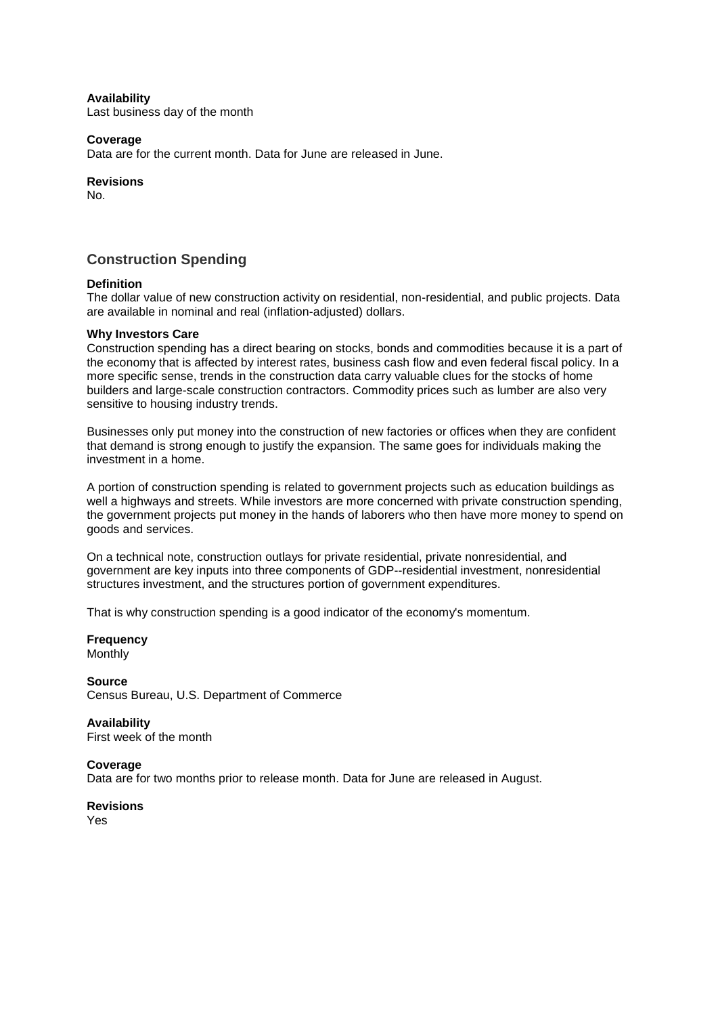## **Availability**

Last business day of the month

## **Coverage**

Data are for the current month. Data for June are released in June.

## **Revisions**

No.

# **Construction Spending**

# **Definition**

The dollar value of new construction activity on residential, non-residential, and public projects. Data are available in nominal and real (inflation-adjusted) dollars.

#### **Why Investors Care**

Construction spending has a direct bearing on stocks, bonds and commodities because it is a part of the economy that is affected by interest rates, business cash flow and even federal fiscal policy. In a more specific sense, trends in the construction data carry valuable clues for the stocks of home builders and large-scale construction contractors. Commodity prices such as lumber are also very sensitive to housing industry trends.

Businesses only put money into the construction of new factories or offices when they are confident that demand is strong enough to justify the expansion. The same goes for individuals making the investment in a home.

A portion of construction spending is related to government projects such as education buildings as well a highways and streets. While investors are more concerned with private construction spending, the government projects put money in the hands of laborers who then have more money to spend on goods and services.

On a technical note, construction outlays for private residential, private nonresidential, and government are key inputs into three components of GDP--residential investment, nonresidential structures investment, and the structures portion of government expenditures.

That is why construction spending is a good indicator of the economy's momentum.

**Frequency** Monthly

**Source** Census Bureau, U.S. Department of Commerce

**Availability** First week of the month

#### **Coverage**

Data are for two months prior to release month. Data for June are released in August.

**Revisions**

Yes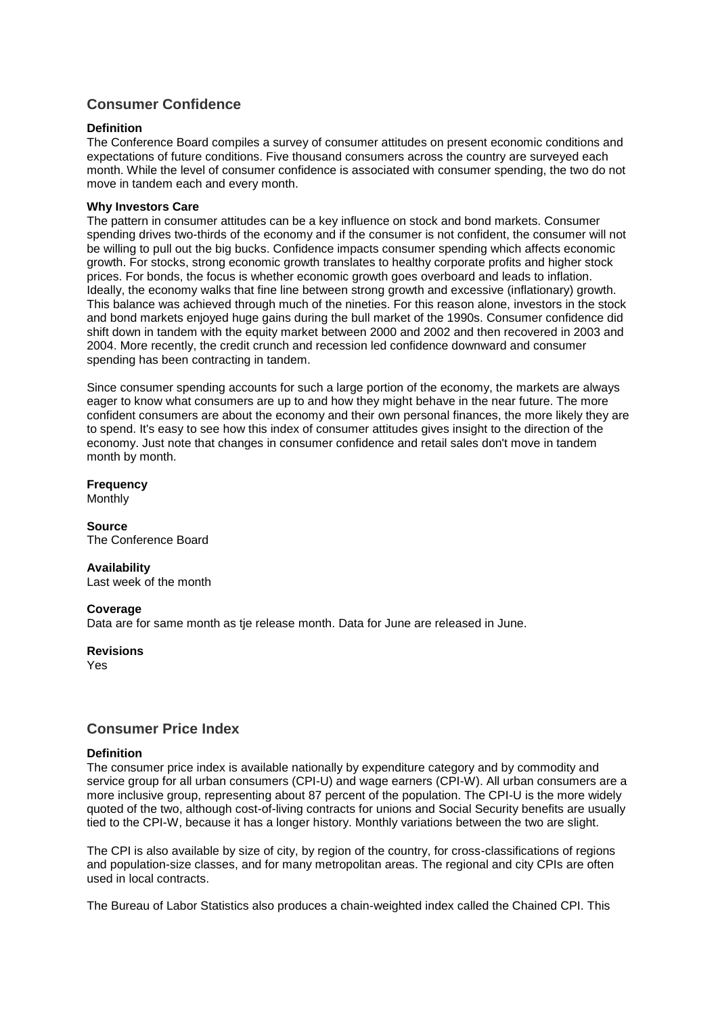# **Consumer Confidence**

## **Definition**

The Conference Board compiles a survey of consumer attitudes on present economic conditions and expectations of future conditions. Five thousand consumers across the country are surveyed each month. While the level of consumer confidence is associated with consumer spending, the two do not move in tandem each and every month.

## **Why Investors Care**

The pattern in consumer attitudes can be a key influence on stock and bond markets. Consumer spending drives two-thirds of the economy and if the consumer is not confident, the consumer will not be willing to pull out the big bucks. Confidence impacts consumer spending which affects economic growth. For stocks, strong economic growth translates to healthy corporate profits and higher stock prices. For bonds, the focus is whether economic growth goes overboard and leads to inflation. Ideally, the economy walks that fine line between strong growth and excessive (inflationary) growth. This balance was achieved through much of the nineties. For this reason alone, investors in the stock and bond markets enjoyed huge gains during the bull market of the 1990s. Consumer confidence did shift down in tandem with the equity market between 2000 and 2002 and then recovered in 2003 and 2004. More recently, the credit crunch and recession led confidence downward and consumer spending has been contracting in tandem.

Since consumer spending accounts for such a large portion of the economy, the markets are always eager to know what consumers are up to and how they might behave in the near future. The more confident consumers are about the economy and their own personal finances, the more likely they are to spend. It's easy to see how this index of consumer attitudes gives insight to the direction of the economy. Just note that changes in consumer confidence and retail sales don't move in tandem month by month.

**Frequency** Monthly

**Source** The Conference Board

## **Availability**

Last week of the month

## **Coverage**

Data are for same month as tje release month. Data for June are released in June.

## **Revisions**

Yes

# **Consumer Price Index**

## **Definition**

The consumer price index is available nationally by expenditure category and by commodity and service group for all urban consumers (CPI-U) and wage earners (CPI-W). All urban consumers are a more inclusive group, representing about 87 percent of the population. The CPI-U is the more widely quoted of the two, although cost-of-living contracts for unions and Social Security benefits are usually tied to the CPI-W, because it has a longer history. Monthly variations between the two are slight.

The CPI is also available by size of city, by region of the country, for cross-classifications of regions and population-size classes, and for many metropolitan areas. The regional and city CPIs are often used in local contracts.

The Bureau of Labor Statistics also produces a chain-weighted index called the Chained CPI. This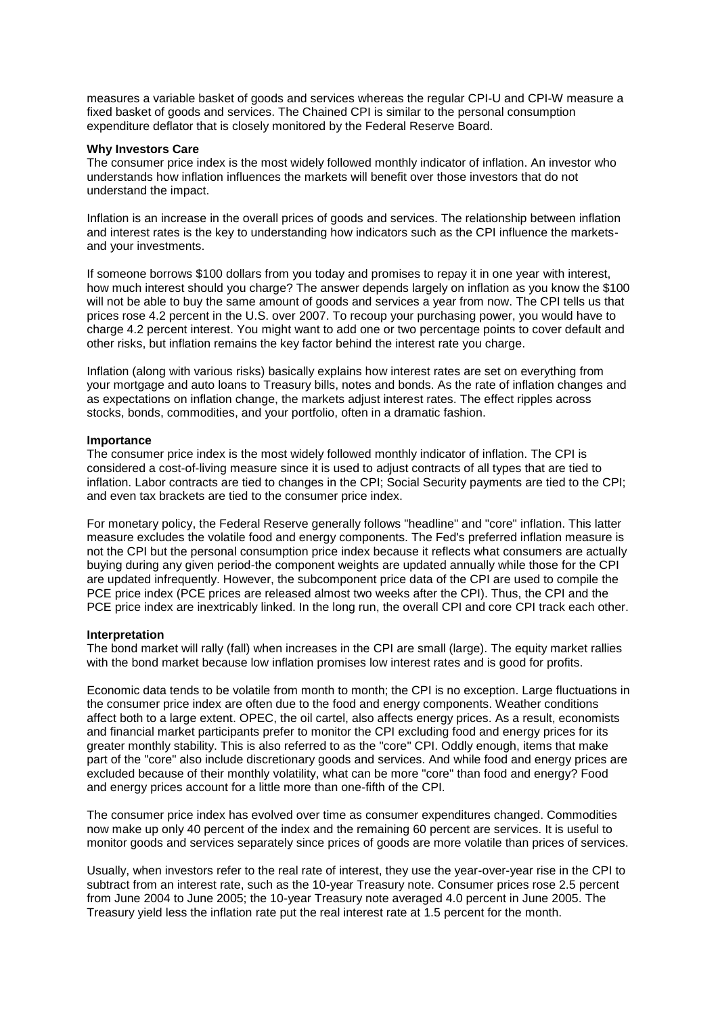measures a variable basket of goods and services whereas the regular CPI-U and CPI-W measure a fixed basket of goods and services. The Chained CPI is similar to the personal consumption expenditure deflator that is closely monitored by the Federal Reserve Board.

#### **Why Investors Care**

The consumer price index is the most widely followed monthly indicator of inflation. An investor who understands how inflation influences the markets will benefit over those investors that do not understand the impact.

Inflation is an increase in the overall prices of goods and services. The relationship between inflation and interest rates is the key to understanding how indicators such as the CPI influence the marketsand your investments.

If someone borrows \$100 dollars from you today and promises to repay it in one year with interest, how much interest should you charge? The answer depends largely on inflation as you know the \$100 will not be able to buy the same amount of goods and services a year from now. The CPI tells us that prices rose 4.2 percent in the U.S. over 2007. To recoup your purchasing power, you would have to charge 4.2 percent interest. You might want to add one or two percentage points to cover default and other risks, but inflation remains the key factor behind the interest rate you charge.

Inflation (along with various risks) basically explains how interest rates are set on everything from your mortgage and auto loans to Treasury bills, notes and bonds. As the rate of inflation changes and as expectations on inflation change, the markets adjust interest rates. The effect ripples across stocks, bonds, commodities, and your portfolio, often in a dramatic fashion.

#### **Importance**

The consumer price index is the most widely followed monthly indicator of inflation. The CPI is considered a cost-of-living measure since it is used to adjust contracts of all types that are tied to inflation. Labor contracts are tied to changes in the CPI; Social Security payments are tied to the CPI; and even tax brackets are tied to the consumer price index.

For monetary policy, the Federal Reserve generally follows "headline" and "core" inflation. This latter measure excludes the volatile food and energy components. The Fed's preferred inflation measure is not the CPI but the personal consumption price index because it reflects what consumers are actually buying during any given period-the component weights are updated annually while those for the CPI are updated infrequently. However, the subcomponent price data of the CPI are used to compile the PCE price index (PCE prices are released almost two weeks after the CPI). Thus, the CPI and the PCE price index are inextricably linked. In the long run, the overall CPI and core CPI track each other.

# **Interpretation**

The bond market will rally (fall) when increases in the CPI are small (large). The equity market rallies with the bond market because low inflation promises low interest rates and is good for profits.

Economic data tends to be volatile from month to month; the CPI is no exception. Large fluctuations in the consumer price index are often due to the food and energy components. Weather conditions affect both to a large extent. OPEC, the oil cartel, also affects energy prices. As a result, economists and financial market participants prefer to monitor the CPI excluding food and energy prices for its greater monthly stability. This is also referred to as the "core" CPI. Oddly enough, items that make part of the "core" also include discretionary goods and services. And while food and energy prices are excluded because of their monthly volatility, what can be more "core" than food and energy? Food and energy prices account for a little more than one-fifth of the CPI.

The consumer price index has evolved over time as consumer expenditures changed. Commodities now make up only 40 percent of the index and the remaining 60 percent are services. It is useful to monitor goods and services separately since prices of goods are more volatile than prices of services.

Usually, when investors refer to the real rate of interest, they use the year-over-year rise in the CPI to subtract from an interest rate, such as the 10-year Treasury note. Consumer prices rose 2.5 percent from June 2004 to June 2005; the 10-year Treasury note averaged 4.0 percent in June 2005. The Treasury yield less the inflation rate put the real interest rate at 1.5 percent for the month.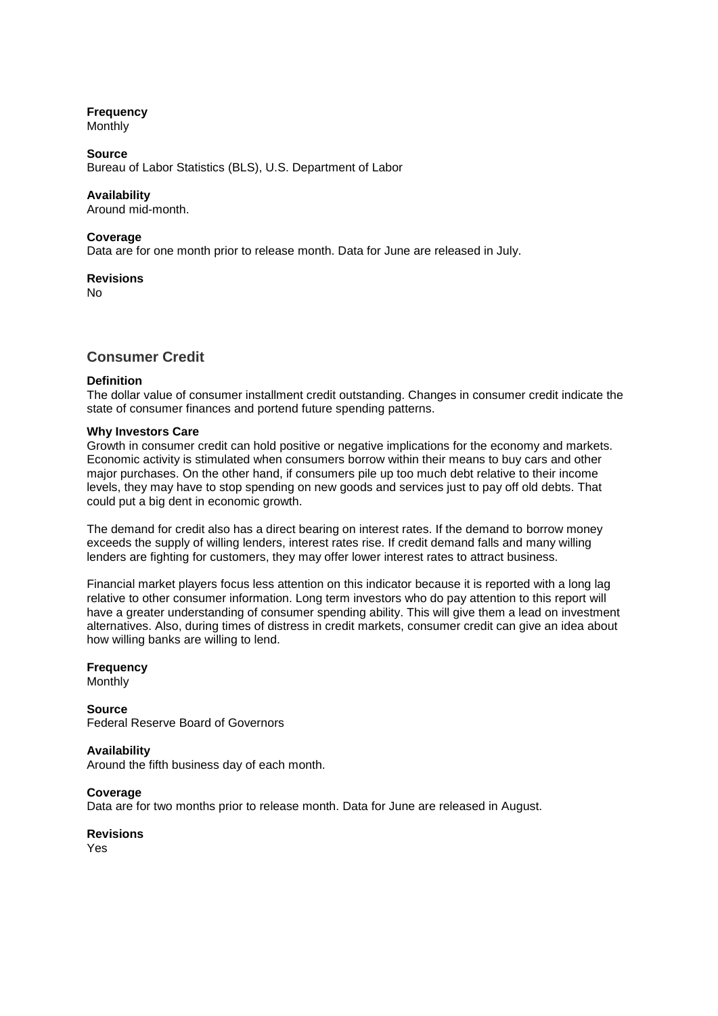# **Frequency**

**Monthly** 

## **Source**

Bureau of Labor Statistics (BLS), U.S. Department of Labor

## **Availability**

Around mid-month.

#### **Coverage**

Data are for one month prior to release month. Data for June are released in July.

**Revisions** No

# **Consumer Credit**

## **Definition**

The dollar value of consumer installment credit outstanding. Changes in consumer credit indicate the state of consumer finances and portend future spending patterns.

#### **Why Investors Care**

Growth in consumer credit can hold positive or negative implications for the economy and markets. Economic activity is stimulated when consumers borrow within their means to buy cars and other major purchases. On the other hand, if consumers pile up too much debt relative to their income levels, they may have to stop spending on new goods and services just to pay off old debts. That could put a big dent in economic growth.

The demand for credit also has a direct bearing on interest rates. If the demand to borrow money exceeds the supply of willing lenders, interest rates rise. If credit demand falls and many willing lenders are fighting for customers, they may offer lower interest rates to attract business.

Financial market players focus less attention on this indicator because it is reported with a long lag relative to other consumer information. Long term investors who do pay attention to this report will have a greater understanding of consumer spending ability. This will give them a lead on investment alternatives. Also, during times of distress in credit markets, consumer credit can give an idea about how willing banks are willing to lend.

## **Frequency**

**Monthly** 

**Source** Federal Reserve Board of Governors

## **Availability**

Around the fifth business day of each month.

**Coverage**

Data are for two months prior to release month. Data for June are released in August.

**Revisions** Yes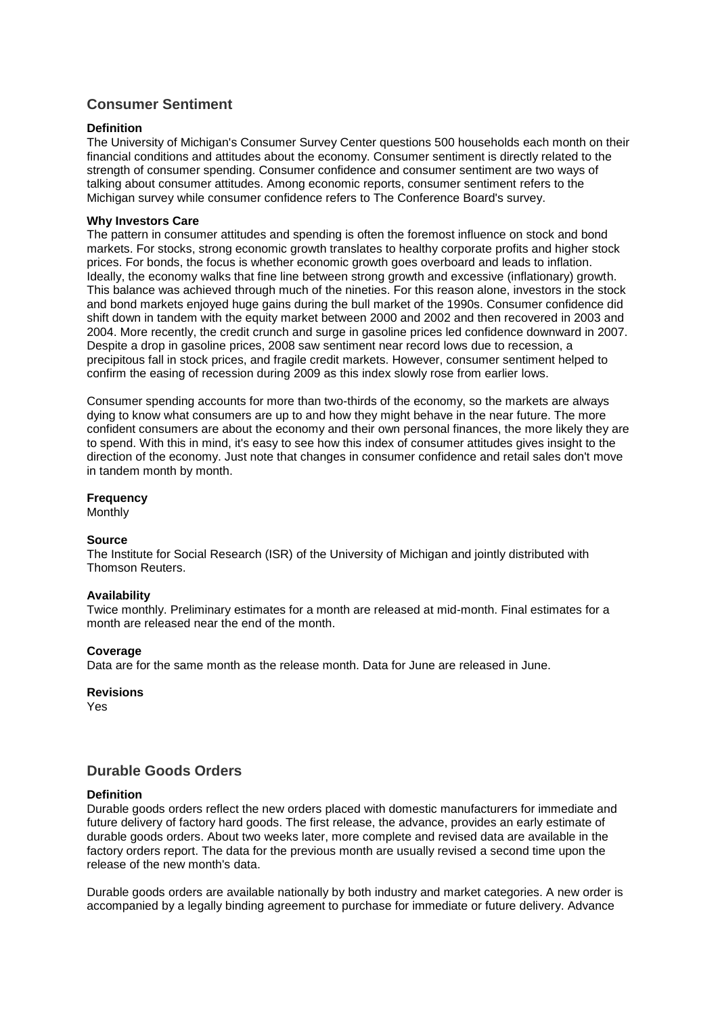# **Consumer Sentiment**

# **Definition**

The University of Michigan's Consumer Survey Center questions 500 households each month on their financial conditions and attitudes about the economy. Consumer sentiment is directly related to the strength of consumer spending. Consumer confidence and consumer sentiment are two ways of talking about consumer attitudes. Among economic reports, consumer sentiment refers to the Michigan survey while consumer confidence refers to The Conference Board's survey.

## **Why Investors Care**

The pattern in consumer attitudes and spending is often the foremost influence on stock and bond markets. For stocks, strong economic growth translates to healthy corporate profits and higher stock prices. For bonds, the focus is whether economic growth goes overboard and leads to inflation. Ideally, the economy walks that fine line between strong growth and excessive (inflationary) growth. This balance was achieved through much of the nineties. For this reason alone, investors in the stock and bond markets enjoyed huge gains during the bull market of the 1990s. Consumer confidence did shift down in tandem with the equity market between 2000 and 2002 and then recovered in 2003 and 2004. More recently, the credit crunch and surge in gasoline prices led confidence downward in 2007. Despite a drop in gasoline prices, 2008 saw sentiment near record lows due to recession, a precipitous fall in stock prices, and fragile credit markets. However, consumer sentiment helped to confirm the easing of recession during 2009 as this index slowly rose from earlier lows.

Consumer spending accounts for more than two-thirds of the economy, so the markets are always dying to know what consumers are up to and how they might behave in the near future. The more confident consumers are about the economy and their own personal finances, the more likely they are to spend. With this in mind, it's easy to see how this index of consumer attitudes gives insight to the direction of the economy. Just note that changes in consumer confidence and retail sales don't move in tandem month by month.

# **Frequency**

Monthly

## **Source**

The Institute for Social Research (ISR) of the University of Michigan and jointly distributed with Thomson Reuters.

## **Availability**

Twice monthly. Preliminary estimates for a month are released at mid-month. Final estimates for a month are released near the end of the month.

## **Coverage**

Data are for the same month as the release month. Data for June are released in June.

## **Revisions**

Yes

# **Durable Goods Orders**

## **Definition**

Durable goods orders reflect the new orders placed with domestic manufacturers for immediate and future delivery of factory hard goods. The first release, the advance, provides an early estimate of durable goods orders. About two weeks later, more complete and revised data are available in the factory orders report. The data for the previous month are usually revised a second time upon the release of the new month's data.

Durable goods orders are available nationally by both industry and market categories. A new order is accompanied by a legally binding agreement to purchase for immediate or future delivery. Advance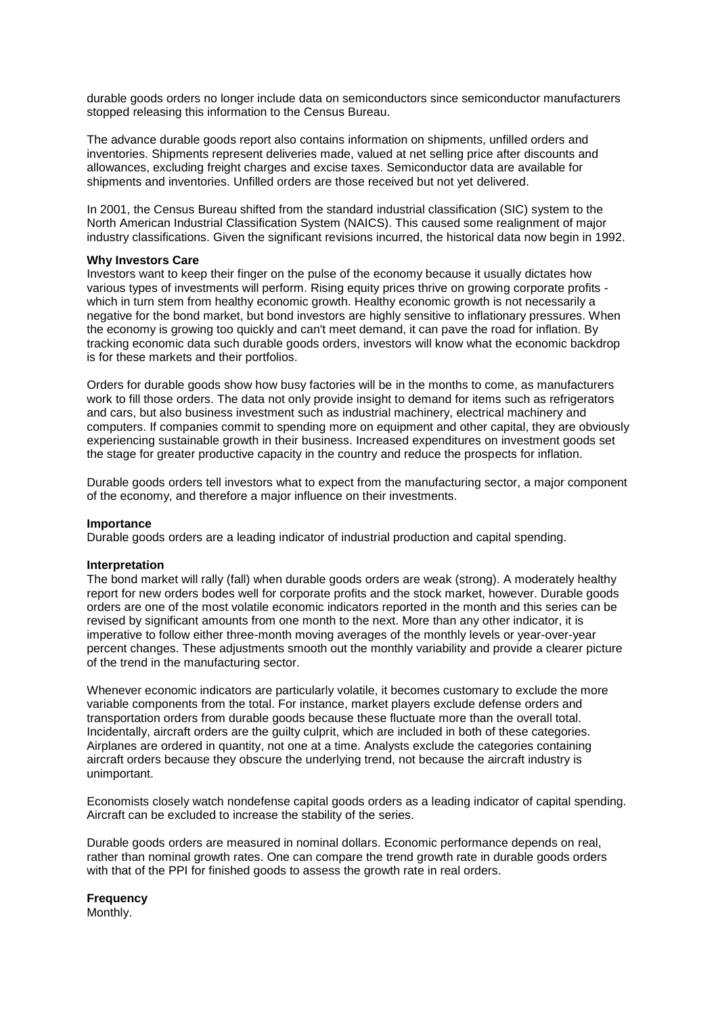durable goods orders no longer include data on semiconductors since semiconductor manufacturers stopped releasing this information to the Census Bureau.

The advance durable goods report also contains information on shipments, unfilled orders and inventories. Shipments represent deliveries made, valued at net selling price after discounts and allowances, excluding freight charges and excise taxes. Semiconductor data are available for shipments and inventories. Unfilled orders are those received but not yet delivered.

In 2001, the Census Bureau shifted from the standard industrial classification (SIC) system to the North American Industrial Classification System (NAICS). This caused some realignment of major industry classifications. Given the significant revisions incurred, the historical data now begin in 1992.

#### **Why Investors Care**

Investors want to keep their finger on the pulse of the economy because it usually dictates how various types of investments will perform. Rising equity prices thrive on growing corporate profits which in turn stem from healthy economic growth. Healthy economic growth is not necessarily a negative for the bond market, but bond investors are highly sensitive to inflationary pressures. When the economy is growing too quickly and can't meet demand, it can pave the road for inflation. By tracking economic data such durable goods orders, investors will know what the economic backdrop is for these markets and their portfolios.

Orders for durable goods show how busy factories will be in the months to come, as manufacturers work to fill those orders. The data not only provide insight to demand for items such as refrigerators and cars, but also business investment such as industrial machinery, electrical machinery and computers. If companies commit to spending more on equipment and other capital, they are obviously experiencing sustainable growth in their business. Increased expenditures on investment goods set the stage for greater productive capacity in the country and reduce the prospects for inflation.

Durable goods orders tell investors what to expect from the manufacturing sector, a major component of the economy, and therefore a major influence on their investments.

#### **Importance**

Durable goods orders are a leading indicator of industrial production and capital spending.

#### **Interpretation**

The bond market will rally (fall) when durable goods orders are weak (strong). A moderately healthy report for new orders bodes well for corporate profits and the stock market, however. Durable goods orders are one of the most volatile economic indicators reported in the month and this series can be revised by significant amounts from one month to the next. More than any other indicator, it is imperative to follow either three-month moving averages of the monthly levels or year-over-year percent changes. These adjustments smooth out the monthly variability and provide a clearer picture of the trend in the manufacturing sector.

Whenever economic indicators are particularly volatile, it becomes customary to exclude the more variable components from the total. For instance, market players exclude defense orders and transportation orders from durable goods because these fluctuate more than the overall total. Incidentally, aircraft orders are the guilty culprit, which are included in both of these categories. Airplanes are ordered in quantity, not one at a time. Analysts exclude the categories containing aircraft orders because they obscure the underlying trend, not because the aircraft industry is unimportant.

Economists closely watch nondefense capital goods orders as a leading indicator of capital spending. Aircraft can be excluded to increase the stability of the series.

Durable goods orders are measured in nominal dollars. Economic performance depends on real, rather than nominal growth rates. One can compare the trend growth rate in durable goods orders with that of the PPI for finished goods to assess the growth rate in real orders.

**Frequency** Monthly.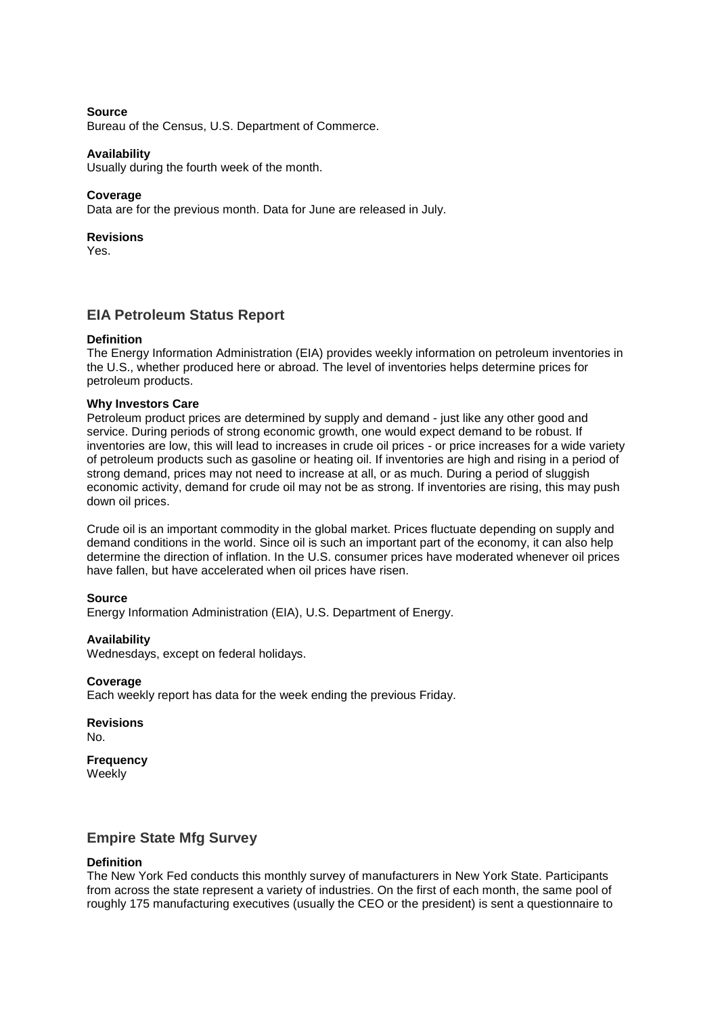## **Source**

Bureau of the Census, U.S. Department of Commerce.

#### **Availability**

Usually during the fourth week of the month.

#### **Coverage**

Data are for the previous month. Data for June are released in July.

## **Revisions**

Yes.

# **EIA Petroleum Status Report**

## **Definition**

The Energy Information Administration (EIA) provides weekly information on petroleum inventories in the U.S., whether produced here or abroad. The level of inventories helps determine prices for petroleum products.

#### **Why Investors Care**

Petroleum product prices are determined by supply and demand - just like any other good and service. During periods of strong economic growth, one would expect demand to be robust. If inventories are low, this will lead to increases in crude oil prices - or price increases for a wide variety of petroleum products such as gasoline or heating oil. If inventories are high and rising in a period of strong demand, prices may not need to increase at all, or as much. During a period of sluggish economic activity, demand for crude oil may not be as strong. If inventories are rising, this may push down oil prices.

Crude oil is an important commodity in the global market. Prices fluctuate depending on supply and demand conditions in the world. Since oil is such an important part of the economy, it can also help determine the direction of inflation. In the U.S. consumer prices have moderated whenever oil prices have fallen, but have accelerated when oil prices have risen.

#### **Source**

Energy Information Administration (EIA), U.S. Department of Energy.

#### **Availability**

Wednesdays, except on federal holidays.

#### **Coverage**

Each weekly report has data for the week ending the previous Friday.

**Revisions**  $N_{\Omega}$ 

**Frequency Weekly** 

# **Empire State Mfg Survey**

#### **Definition**

The New York Fed conducts this monthly survey of manufacturers in New York State. Participants from across the state represent a variety of industries. On the first of each month, the same pool of roughly 175 manufacturing executives (usually the CEO or the president) is sent a questionnaire to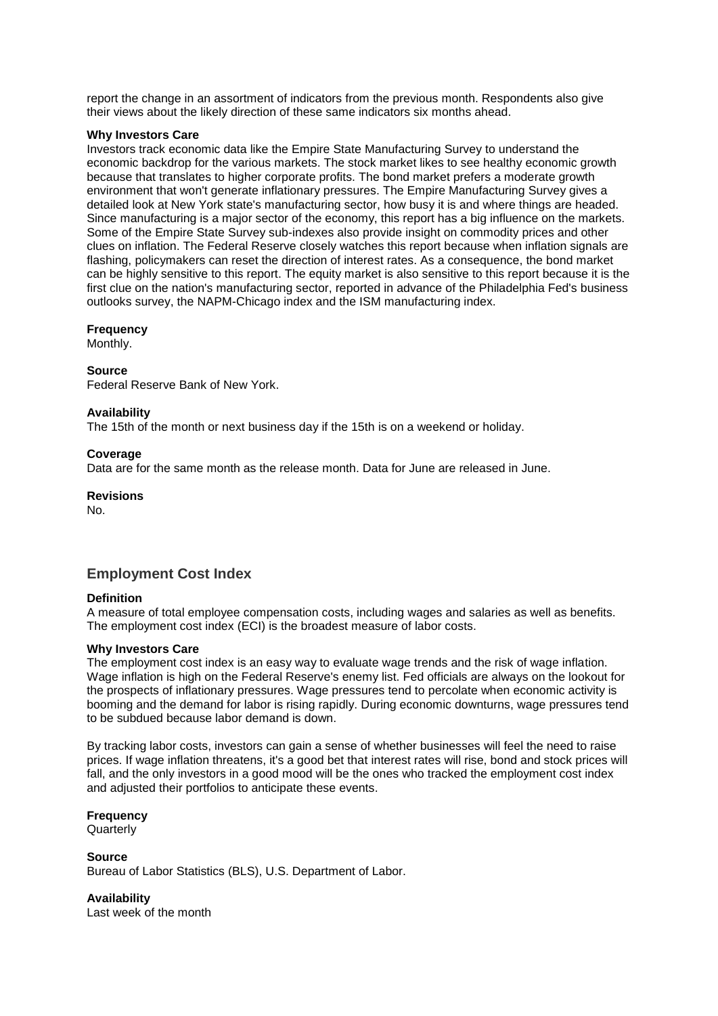report the change in an assortment of indicators from the previous month. Respondents also give their views about the likely direction of these same indicators six months ahead.

## **Why Investors Care**

Investors track economic data like the Empire State Manufacturing Survey to understand the economic backdrop for the various markets. The stock market likes to see healthy economic growth because that translates to higher corporate profits. The bond market prefers a moderate growth environment that won't generate inflationary pressures. The Empire Manufacturing Survey gives a detailed look at New York state's manufacturing sector, how busy it is and where things are headed. Since manufacturing is a major sector of the economy, this report has a big influence on the markets. Some of the Empire State Survey sub-indexes also provide insight on commodity prices and other clues on inflation. The Federal Reserve closely watches this report because when inflation signals are flashing, policymakers can reset the direction of interest rates. As a consequence, the bond market can be highly sensitive to this report. The equity market is also sensitive to this report because it is the first clue on the nation's manufacturing sector, reported in advance of the Philadelphia Fed's business outlooks survey, the NAPM-Chicago index and the ISM manufacturing index.

# **Frequency**

Monthly.

# **Source**

Federal Reserve Bank of New York.

# **Availability**

The 15th of the month or next business day if the 15th is on a weekend or holiday.

# **Coverage**

Data are for the same month as the release month. Data for June are released in June.

**Revisions** No.

# **Employment Cost Index**

# **Definition**

A measure of total employee compensation costs, including wages and salaries as well as benefits. The employment cost index (ECI) is the broadest measure of labor costs.

## **Why Investors Care**

The employment cost index is an easy way to evaluate wage trends and the risk of wage inflation. Wage inflation is high on the Federal Reserve's enemy list. Fed officials are always on the lookout for the prospects of inflationary pressures. Wage pressures tend to percolate when economic activity is booming and the demand for labor is rising rapidly. During economic downturns, wage pressures tend to be subdued because labor demand is down.

By tracking labor costs, investors can gain a sense of whether businesses will feel the need to raise prices. If wage inflation threatens, it's a good bet that interest rates will rise, bond and stock prices will fall, and the only investors in a good mood will be the ones who tracked the employment cost index and adjusted their portfolios to anticipate these events.

#### **Frequency Quarterly**

#### **Source** Bureau of Labor Statistics (BLS), U.S. Department of Labor.

**Availability** Last week of the month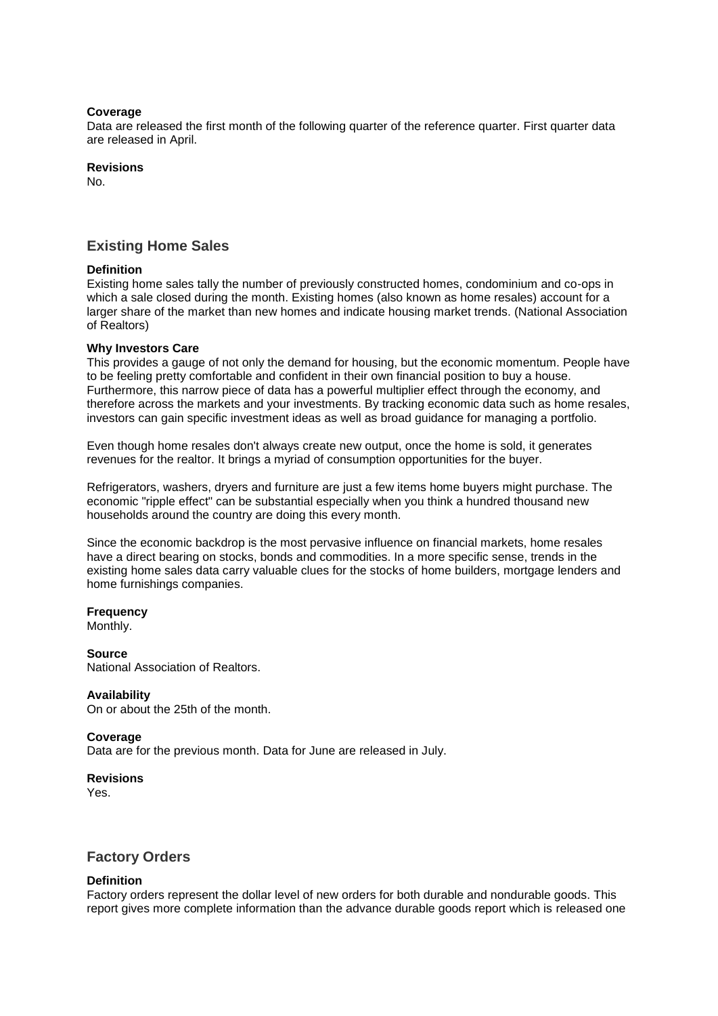## **Coverage**

Data are released the first month of the following quarter of the reference quarter. First quarter data are released in April.

# **Revisions**

No.

# **Existing Home Sales**

# **Definition**

Existing home sales tally the number of previously constructed homes, condominium and co-ops in which a sale closed during the month. Existing homes (also known as home resales) account for a larger share of the market than new homes and indicate housing market trends. (National Association of Realtors)

# **Why Investors Care**

This provides a gauge of not only the demand for housing, but the economic momentum. People have to be feeling pretty comfortable and confident in their own financial position to buy a house. Furthermore, this narrow piece of data has a powerful multiplier effect through the economy, and therefore across the markets and your investments. By tracking economic data such as home resales, investors can gain specific investment ideas as well as broad guidance for managing a portfolio.

Even though home resales don't always create new output, once the home is sold, it generates revenues for the realtor. It brings a myriad of consumption opportunities for the buyer.

Refrigerators, washers, dryers and furniture are just a few items home buyers might purchase. The economic "ripple effect" can be substantial especially when you think a hundred thousand new households around the country are doing this every month.

Since the economic backdrop is the most pervasive influence on financial markets, home resales have a direct bearing on stocks, bonds and commodities. In a more specific sense, trends in the existing home sales data carry valuable clues for the stocks of home builders, mortgage lenders and home furnishings companies.

# **Frequency**

Monthly.

# **Source**

National Association of Realtors.

## **Availability**

On or about the 25th of the month.

## **Coverage**

Data are for the previous month. Data for June are released in July.

## **Revisions**

Yes.

# **Factory Orders**

## **Definition**

Factory orders represent the dollar level of new orders for both durable and nondurable goods. This report gives more complete information than the advance durable goods report which is released one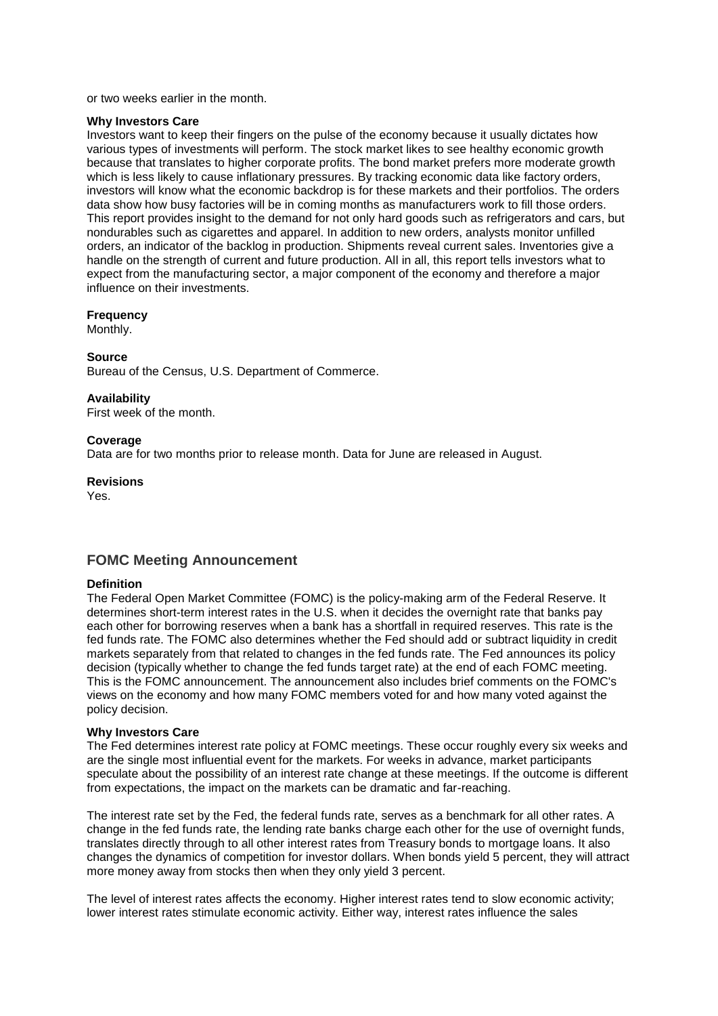or two weeks earlier in the month.

#### **Why Investors Care**

Investors want to keep their fingers on the pulse of the economy because it usually dictates how various types of investments will perform. The stock market likes to see healthy economic growth because that translates to higher corporate profits. The bond market prefers more moderate growth which is less likely to cause inflationary pressures. By tracking economic data like factory orders, investors will know what the economic backdrop is for these markets and their portfolios. The orders data show how busy factories will be in coming months as manufacturers work to fill those orders. This report provides insight to the demand for not only hard goods such as refrigerators and cars, but nondurables such as cigarettes and apparel. In addition to new orders, analysts monitor unfilled orders, an indicator of the backlog in production. Shipments reveal current sales. Inventories give a handle on the strength of current and future production. All in all, this report tells investors what to expect from the manufacturing sector, a major component of the economy and therefore a major influence on their investments.

#### **Frequency**

Monthly.

#### **Source**

Bureau of the Census, U.S. Department of Commerce.

#### **Availability**

First week of the month.

#### **Coverage**

Data are for two months prior to release month. Data for June are released in August.

#### **Revisions**

Yes.

# **FOMC Meeting Announcement**

#### **Definition**

The Federal Open Market Committee (FOMC) is the policy-making arm of the Federal Reserve. It determines short-term interest rates in the U.S. when it decides the overnight rate that banks pay each other for borrowing reserves when a bank has a shortfall in required reserves. This rate is the fed funds rate. The FOMC also determines whether the Fed should add or subtract liquidity in credit markets separately from that related to changes in the fed funds rate. The Fed announces its policy decision (typically whether to change the fed funds target rate) at the end of each FOMC meeting. This is the FOMC announcement. The announcement also includes brief comments on the FOMC's views on the economy and how many FOMC members voted for and how many voted against the policy decision.

#### **Why Investors Care**

The Fed determines interest rate policy at FOMC meetings. These occur roughly every six weeks and are the single most influential event for the markets. For weeks in advance, market participants speculate about the possibility of an interest rate change at these meetings. If the outcome is different from expectations, the impact on the markets can be dramatic and far-reaching.

The interest rate set by the Fed, the federal funds rate, serves as a benchmark for all other rates. A change in the fed funds rate, the lending rate banks charge each other for the use of overnight funds, translates directly through to all other interest rates from Treasury bonds to mortgage loans. It also changes the dynamics of competition for investor dollars. When bonds yield 5 percent, they will attract more money away from stocks then when they only yield 3 percent.

The level of interest rates affects the economy. Higher interest rates tend to slow economic activity; lower interest rates stimulate economic activity. Either way, interest rates influence the sales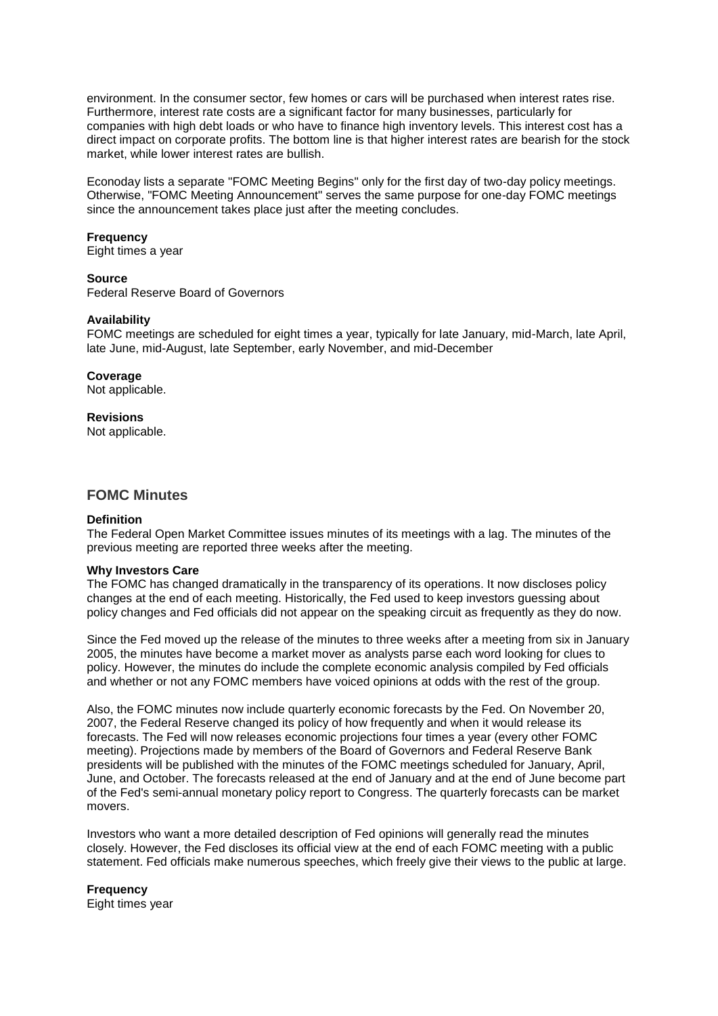environment. In the consumer sector, few homes or cars will be purchased when interest rates rise. Furthermore, interest rate costs are a significant factor for many businesses, particularly for companies with high debt loads or who have to finance high inventory levels. This interest cost has a direct impact on corporate profits. The bottom line is that higher interest rates are bearish for the stock market, while lower interest rates are bullish.

Econoday lists a separate "FOMC Meeting Begins" only for the first day of two-day policy meetings. Otherwise, "FOMC Meeting Announcement" serves the same purpose for one-day FOMC meetings since the announcement takes place just after the meeting concludes.

#### **Frequency**

Eight times a year

#### **Source**

Federal Reserve Board of Governors

#### **Availability**

FOMC meetings are scheduled for eight times a year, typically for late January, mid-March, late April, late June, mid-August, late September, early November, and mid-December

#### **Coverage**

Not applicable.

#### **Revisions**

Not applicable.

# **FOMC Minutes**

#### **Definition**

The Federal Open Market Committee issues minutes of its meetings with a lag. The minutes of the previous meeting are reported three weeks after the meeting.

#### **Why Investors Care**

The FOMC has changed dramatically in the transparency of its operations. It now discloses policy changes at the end of each meeting. Historically, the Fed used to keep investors guessing about policy changes and Fed officials did not appear on the speaking circuit as frequently as they do now.

Since the Fed moved up the release of the minutes to three weeks after a meeting from six in January 2005, the minutes have become a market mover as analysts parse each word looking for clues to policy. However, the minutes do include the complete economic analysis compiled by Fed officials and whether or not any FOMC members have voiced opinions at odds with the rest of the group.

Also, the FOMC minutes now include quarterly economic forecasts by the Fed. On November 20, 2007, the Federal Reserve changed its policy of how frequently and when it would release its forecasts. The Fed will now releases economic projections four times a year (every other FOMC meeting). Projections made by members of the Board of Governors and Federal Reserve Bank presidents will be published with the minutes of the FOMC meetings scheduled for January, April, June, and October. The forecasts released at the end of January and at the end of June become part of the Fed's semi-annual monetary policy report to Congress. The quarterly forecasts can be market movers.

Investors who want a more detailed description of Fed opinions will generally read the minutes closely. However, the Fed discloses its official view at the end of each FOMC meeting with a public statement. Fed officials make numerous speeches, which freely give their views to the public at large.

**Frequency** Eight times year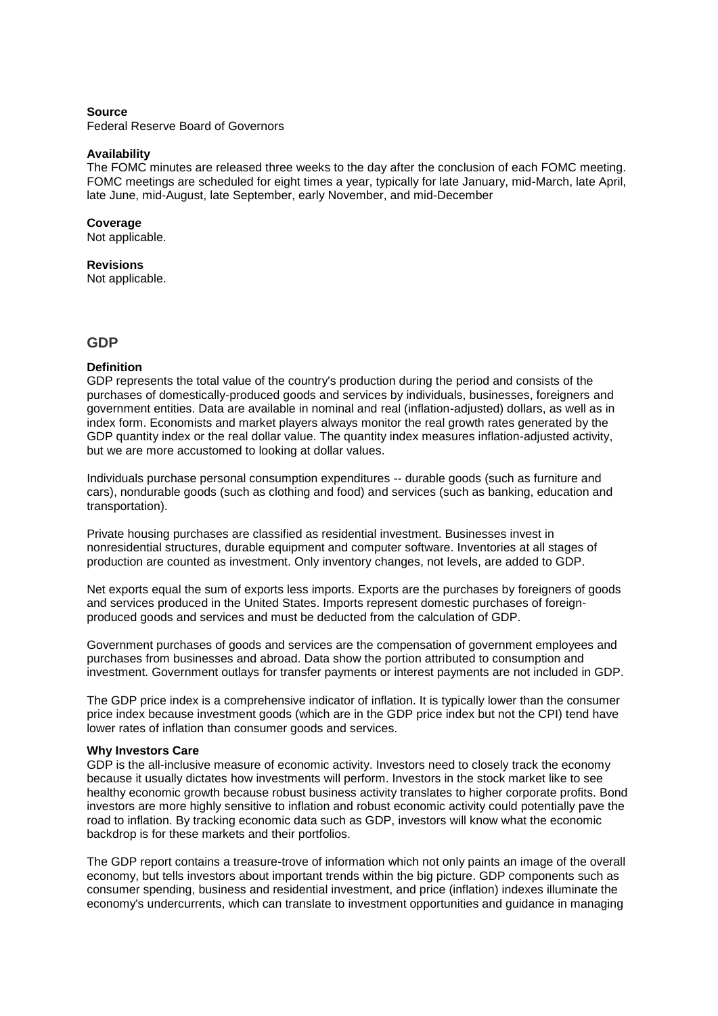#### **Source**

Federal Reserve Board of Governors

#### **Availability**

The FOMC minutes are released three weeks to the day after the conclusion of each FOMC meeting. FOMC meetings are scheduled for eight times a year, typically for late January, mid-March, late April, late June, mid-August, late September, early November, and mid-December

#### **Coverage**

Not applicable.

#### **Revisions**

Not applicable.

# **GDP**

#### **Definition**

GDP represents the total value of the country's production during the period and consists of the purchases of domestically-produced goods and services by individuals, businesses, foreigners and government entities. Data are available in nominal and real (inflation-adjusted) dollars, as well as in index form. Economists and market players always monitor the real growth rates generated by the GDP quantity index or the real dollar value. The quantity index measures inflation-adjusted activity, but we are more accustomed to looking at dollar values.

Individuals purchase personal consumption expenditures -- durable goods (such as furniture and cars), nondurable goods (such as clothing and food) and services (such as banking, education and transportation).

Private housing purchases are classified as residential investment. Businesses invest in nonresidential structures, durable equipment and computer software. Inventories at all stages of production are counted as investment. Only inventory changes, not levels, are added to GDP.

Net exports equal the sum of exports less imports. Exports are the purchases by foreigners of goods and services produced in the United States. Imports represent domestic purchases of foreignproduced goods and services and must be deducted from the calculation of GDP.

Government purchases of goods and services are the compensation of government employees and purchases from businesses and abroad. Data show the portion attributed to consumption and investment. Government outlays for transfer payments or interest payments are not included in GDP.

The GDP price index is a comprehensive indicator of inflation. It is typically lower than the consumer price index because investment goods (which are in the GDP price index but not the CPI) tend have lower rates of inflation than consumer goods and services.

#### **Why Investors Care**

GDP is the all-inclusive measure of economic activity. Investors need to closely track the economy because it usually dictates how investments will perform. Investors in the stock market like to see healthy economic growth because robust business activity translates to higher corporate profits. Bond investors are more highly sensitive to inflation and robust economic activity could potentially pave the road to inflation. By tracking economic data such as GDP, investors will know what the economic backdrop is for these markets and their portfolios.

The GDP report contains a treasure-trove of information which not only paints an image of the overall economy, but tells investors about important trends within the big picture. GDP components such as consumer spending, business and residential investment, and price (inflation) indexes illuminate the economy's undercurrents, which can translate to investment opportunities and guidance in managing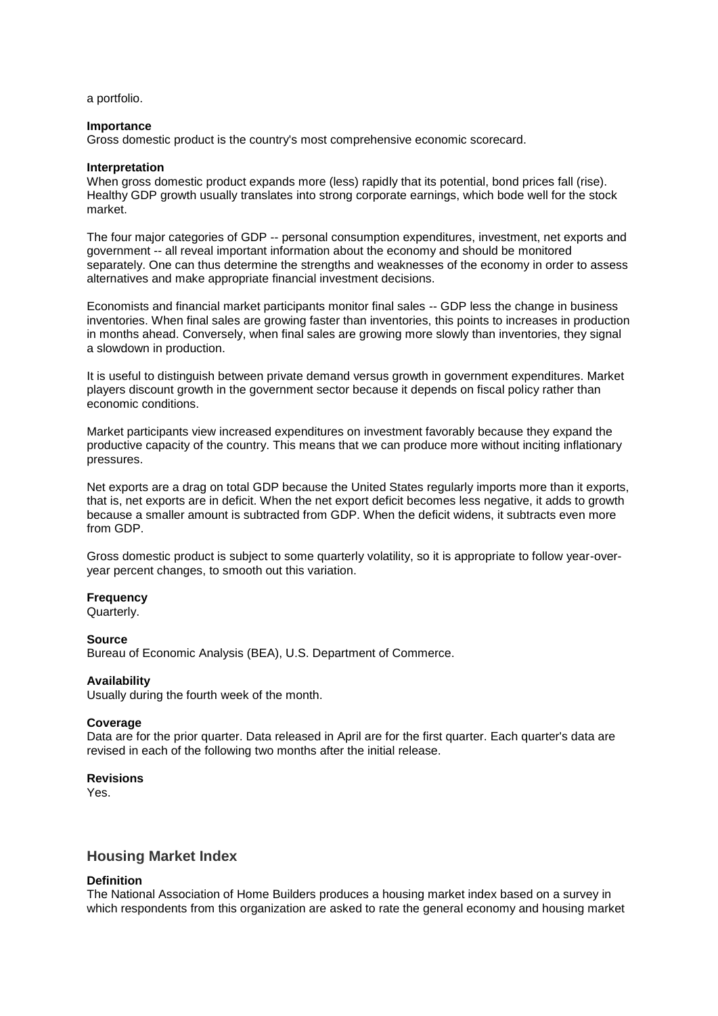a portfolio.

## **Importance**

Gross domestic product is the country's most comprehensive economic scorecard.

#### **Interpretation**

When gross domestic product expands more (less) rapidly that its potential, bond prices fall (rise). Healthy GDP growth usually translates into strong corporate earnings, which bode well for the stock market.

The four major categories of GDP -- personal consumption expenditures, investment, net exports and government -- all reveal important information about the economy and should be monitored separately. One can thus determine the strengths and weaknesses of the economy in order to assess alternatives and make appropriate financial investment decisions.

Economists and financial market participants monitor final sales -- GDP less the change in business inventories. When final sales are growing faster than inventories, this points to increases in production in months ahead. Conversely, when final sales are growing more slowly than inventories, they signal a slowdown in production.

It is useful to distinguish between private demand versus growth in government expenditures. Market players discount growth in the government sector because it depends on fiscal policy rather than economic conditions.

Market participants view increased expenditures on investment favorably because they expand the productive capacity of the country. This means that we can produce more without inciting inflationary pressures.

Net exports are a drag on total GDP because the United States regularly imports more than it exports, that is, net exports are in deficit. When the net export deficit becomes less negative, it adds to growth because a smaller amount is subtracted from GDP. When the deficit widens, it subtracts even more from GDP.

Gross domestic product is subject to some quarterly volatility, so it is appropriate to follow year-overyear percent changes, to smooth out this variation.

## **Frequency**

Quarterly.

#### **Source**

Bureau of Economic Analysis (BEA), U.S. Department of Commerce.

## **Availability**

Usually during the fourth week of the month.

#### **Coverage**

Data are for the prior quarter. Data released in April are for the first quarter. Each quarter's data are revised in each of the following two months after the initial release.

#### **Revisions**

Yes.

# **Housing Market Index**

#### **Definition**

The National Association of Home Builders produces a housing market index based on a survey in which respondents from this organization are asked to rate the general economy and housing market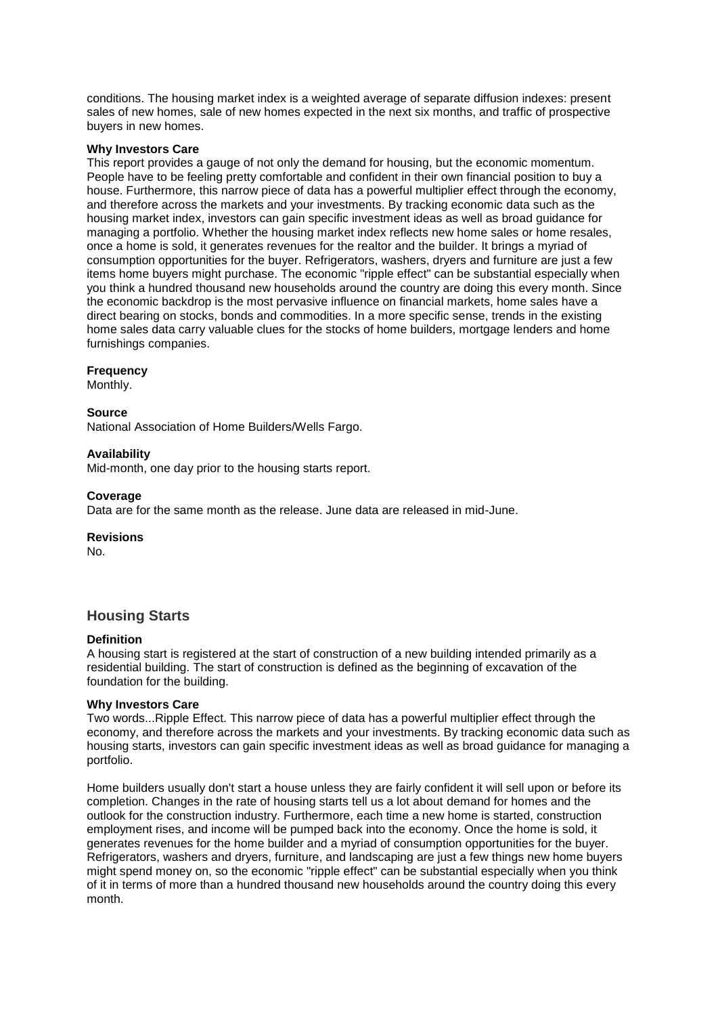conditions. The housing market index is a weighted average of separate diffusion indexes: present sales of new homes, sale of new homes expected in the next six months, and traffic of prospective buyers in new homes.

## **Why Investors Care**

This report provides a gauge of not only the demand for housing, but the economic momentum. People have to be feeling pretty comfortable and confident in their own financial position to buy a house. Furthermore, this narrow piece of data has a powerful multiplier effect through the economy, and therefore across the markets and your investments. By tracking economic data such as the housing market index, investors can gain specific investment ideas as well as broad guidance for managing a portfolio. Whether the housing market index reflects new home sales or home resales, once a home is sold, it generates revenues for the realtor and the builder. It brings a myriad of consumption opportunities for the buyer. Refrigerators, washers, dryers and furniture are just a few items home buyers might purchase. The economic "ripple effect" can be substantial especially when you think a hundred thousand new households around the country are doing this every month. Since the economic backdrop is the most pervasive influence on financial markets, home sales have a direct bearing on stocks, bonds and commodities. In a more specific sense, trends in the existing home sales data carry valuable clues for the stocks of home builders, mortgage lenders and home furnishings companies.

# **Frequency**

Monthly.

## **Source**

National Association of Home Builders/Wells Fargo.

# **Availability**

Mid-month, one day prior to the housing starts report.

# **Coverage**

Data are for the same month as the release. June data are released in mid-June.

# **Revisions**

No.

# **Housing Starts**

## **Definition**

A housing start is registered at the start of construction of a new building intended primarily as a residential building. The start of construction is defined as the beginning of excavation of the foundation for the building.

## **Why Investors Care**

Two words...Ripple Effect. This narrow piece of data has a powerful multiplier effect through the economy, and therefore across the markets and your investments. By tracking economic data such as housing starts, investors can gain specific investment ideas as well as broad guidance for managing a portfolio.

Home builders usually don't start a house unless they are fairly confident it will sell upon or before its completion. Changes in the rate of housing starts tell us a lot about demand for homes and the outlook for the construction industry. Furthermore, each time a new home is started, construction employment rises, and income will be pumped back into the economy. Once the home is sold, it generates revenues for the home builder and a myriad of consumption opportunities for the buyer. Refrigerators, washers and dryers, furniture, and landscaping are just a few things new home buyers might spend money on, so the economic "ripple effect" can be substantial especially when you think of it in terms of more than a hundred thousand new households around the country doing this every month.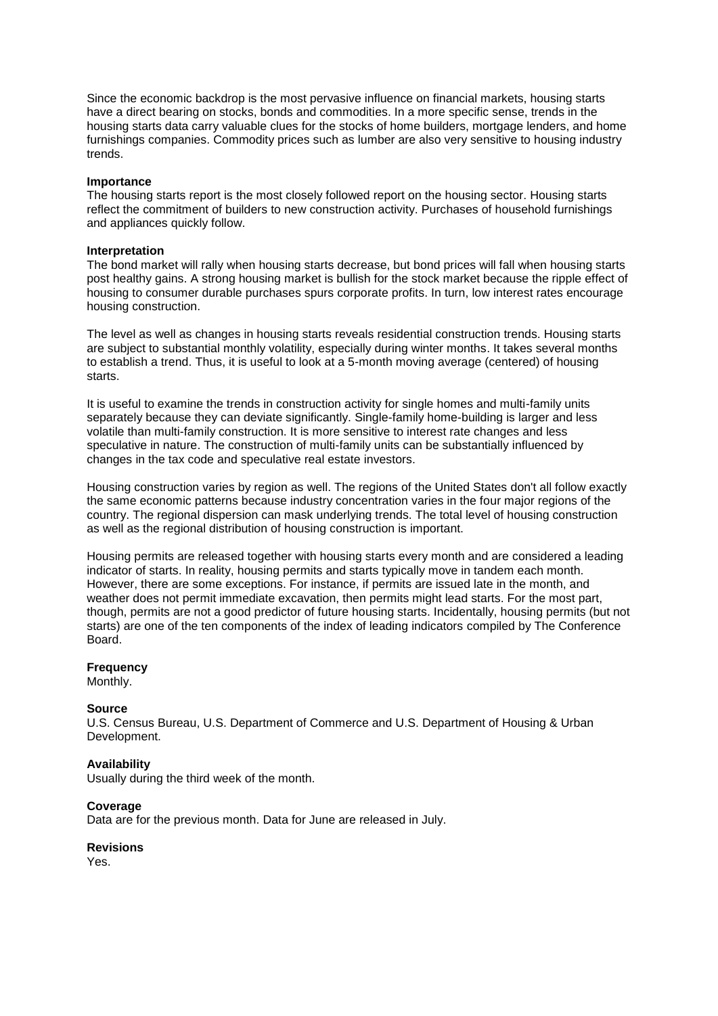Since the economic backdrop is the most pervasive influence on financial markets, housing starts have a direct bearing on stocks, bonds and commodities. In a more specific sense, trends in the housing starts data carry valuable clues for the stocks of home builders, mortgage lenders, and home furnishings companies. Commodity prices such as lumber are also very sensitive to housing industry trends.

#### **Importance**

The housing starts report is the most closely followed report on the housing sector. Housing starts reflect the commitment of builders to new construction activity. Purchases of household furnishings and appliances quickly follow.

#### **Interpretation**

The bond market will rally when housing starts decrease, but bond prices will fall when housing starts post healthy gains. A strong housing market is bullish for the stock market because the ripple effect of housing to consumer durable purchases spurs corporate profits. In turn, low interest rates encourage housing construction.

The level as well as changes in housing starts reveals residential construction trends. Housing starts are subject to substantial monthly volatility, especially during winter months. It takes several months to establish a trend. Thus, it is useful to look at a 5-month moving average (centered) of housing starts.

It is useful to examine the trends in construction activity for single homes and multi-family units separately because they can deviate significantly. Single-family home-building is larger and less volatile than multi-family construction. It is more sensitive to interest rate changes and less speculative in nature. The construction of multi-family units can be substantially influenced by changes in the tax code and speculative real estate investors.

Housing construction varies by region as well. The regions of the United States don't all follow exactly the same economic patterns because industry concentration varies in the four major regions of the country. The regional dispersion can mask underlying trends. The total level of housing construction as well as the regional distribution of housing construction is important.

Housing permits are released together with housing starts every month and are considered a leading indicator of starts. In reality, housing permits and starts typically move in tandem each month. However, there are some exceptions. For instance, if permits are issued late in the month, and weather does not permit immediate excavation, then permits might lead starts. For the most part, though, permits are not a good predictor of future housing starts. Incidentally, housing permits (but not starts) are one of the ten components of the index of leading indicators compiled by The Conference Board.

## **Frequency**

Monthly.

## **Source**

U.S. Census Bureau, U.S. Department of Commerce and U.S. Department of Housing & Urban Development.

## **Availability**

Usually during the third week of the month.

## **Coverage**

Data are for the previous month. Data for June are released in July.

## **Revisions**

Yes.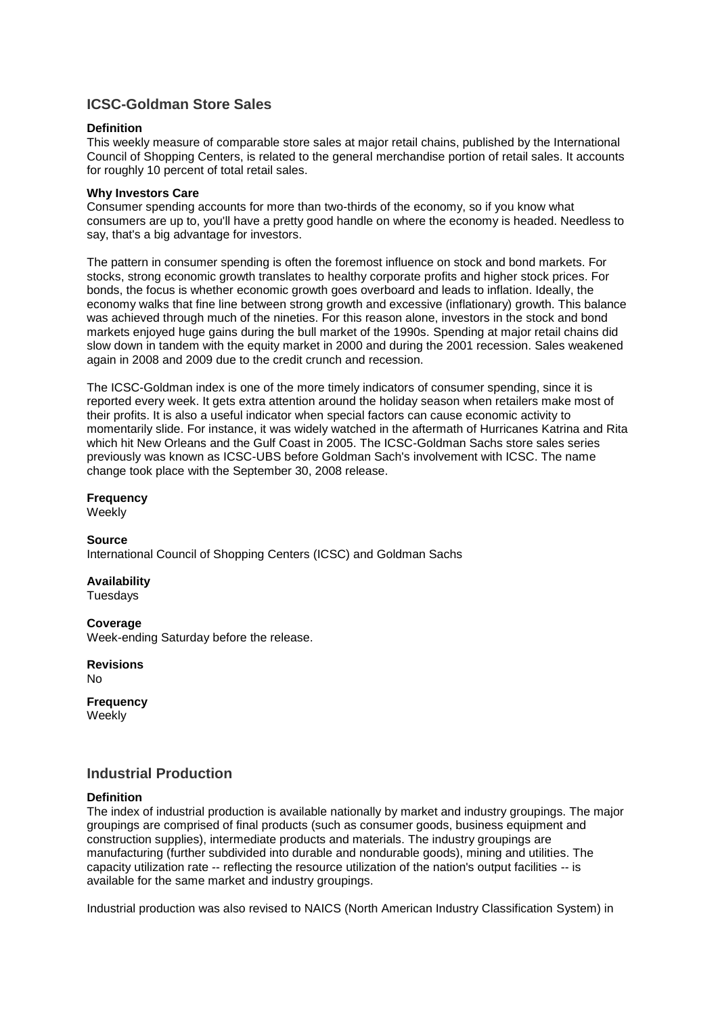# **ICSC-Goldman Store Sales**

## **Definition**

This weekly measure of comparable store sales at major retail chains, published by the International Council of Shopping Centers, is related to the general merchandise portion of retail sales. It accounts for roughly 10 percent of total retail sales.

# **Why Investors Care**

Consumer spending accounts for more than two-thirds of the economy, so if you know what consumers are up to, you'll have a pretty good handle on where the economy is headed. Needless to say, that's a big advantage for investors.

The pattern in consumer spending is often the foremost influence on stock and bond markets. For stocks, strong economic growth translates to healthy corporate profits and higher stock prices. For bonds, the focus is whether economic growth goes overboard and leads to inflation. Ideally, the economy walks that fine line between strong growth and excessive (inflationary) growth. This balance was achieved through much of the nineties. For this reason alone, investors in the stock and bond markets enjoyed huge gains during the bull market of the 1990s. Spending at major retail chains did slow down in tandem with the equity market in 2000 and during the 2001 recession. Sales weakened again in 2008 and 2009 due to the credit crunch and recession.

The ICSC-Goldman index is one of the more timely indicators of consumer spending, since it is reported every week. It gets extra attention around the holiday season when retailers make most of their profits. It is also a useful indicator when special factors can cause economic activity to momentarily slide. For instance, it was widely watched in the aftermath of Hurricanes Katrina and Rita which hit New Orleans and the Gulf Coast in 2005. The ICSC-Goldman Sachs store sales series previously was known as ICSC-UBS before Goldman Sach's involvement with ICSC. The name change took place with the September 30, 2008 release.

# **Frequency**

**Weekly** 

# **Source**

International Council of Shopping Centers (ICSC) and Goldman Sachs

**Availability** Tuesdays

**Coverage** Week-ending Saturday before the release.

**Revisions No** 

**Frequency**

Weekly

# **Industrial Production**

## **Definition**

The index of industrial production is available nationally by market and industry groupings. The major groupings are comprised of final products (such as consumer goods, business equipment and construction supplies), intermediate products and materials. The industry groupings are manufacturing (further subdivided into durable and nondurable goods), mining and utilities. The capacity utilization rate -- reflecting the resource utilization of the nation's output facilities -- is available for the same market and industry groupings.

Industrial production was also revised to NAICS (North American Industry Classification System) in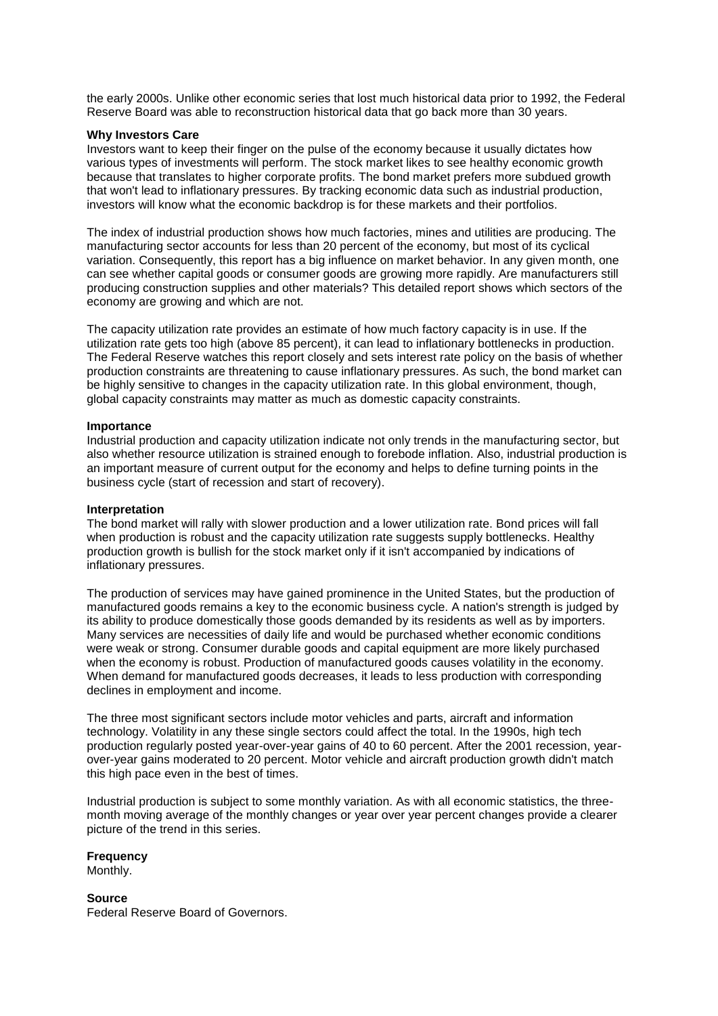the early 2000s. Unlike other economic series that lost much historical data prior to 1992, the Federal Reserve Board was able to reconstruction historical data that go back more than 30 years.

#### **Why Investors Care**

Investors want to keep their finger on the pulse of the economy because it usually dictates how various types of investments will perform. The stock market likes to see healthy economic growth because that translates to higher corporate profits. The bond market prefers more subdued growth that won't lead to inflationary pressures. By tracking economic data such as industrial production, investors will know what the economic backdrop is for these markets and their portfolios.

The index of industrial production shows how much factories, mines and utilities are producing. The manufacturing sector accounts for less than 20 percent of the economy, but most of its cyclical variation. Consequently, this report has a big influence on market behavior. In any given month, one can see whether capital goods or consumer goods are growing more rapidly. Are manufacturers still producing construction supplies and other materials? This detailed report shows which sectors of the economy are growing and which are not.

The capacity utilization rate provides an estimate of how much factory capacity is in use. If the utilization rate gets too high (above 85 percent), it can lead to inflationary bottlenecks in production. The Federal Reserve watches this report closely and sets interest rate policy on the basis of whether production constraints are threatening to cause inflationary pressures. As such, the bond market can be highly sensitive to changes in the capacity utilization rate. In this global environment, though, global capacity constraints may matter as much as domestic capacity constraints.

#### **Importance**

Industrial production and capacity utilization indicate not only trends in the manufacturing sector, but also whether resource utilization is strained enough to forebode inflation. Also, industrial production is an important measure of current output for the economy and helps to define turning points in the business cycle (start of recession and start of recovery).

#### **Interpretation**

The bond market will rally with slower production and a lower utilization rate. Bond prices will fall when production is robust and the capacity utilization rate suggests supply bottlenecks. Healthy production growth is bullish for the stock market only if it isn't accompanied by indications of inflationary pressures.

The production of services may have gained prominence in the United States, but the production of manufactured goods remains a key to the economic business cycle. A nation's strength is judged by its ability to produce domestically those goods demanded by its residents as well as by importers. Many services are necessities of daily life and would be purchased whether economic conditions were weak or strong. Consumer durable goods and capital equipment are more likely purchased when the economy is robust. Production of manufactured goods causes volatility in the economy. When demand for manufactured goods decreases, it leads to less production with corresponding declines in employment and income.

The three most significant sectors include motor vehicles and parts, aircraft and information technology. Volatility in any these single sectors could affect the total. In the 1990s, high tech production regularly posted year-over-year gains of 40 to 60 percent. After the 2001 recession, yearover-year gains moderated to 20 percent. Motor vehicle and aircraft production growth didn't match this high pace even in the best of times.

Industrial production is subject to some monthly variation. As with all economic statistics, the threemonth moving average of the monthly changes or year over year percent changes provide a clearer picture of the trend in this series.

## **Frequency**

Monthly.

**Source** Federal Reserve Board of Governors.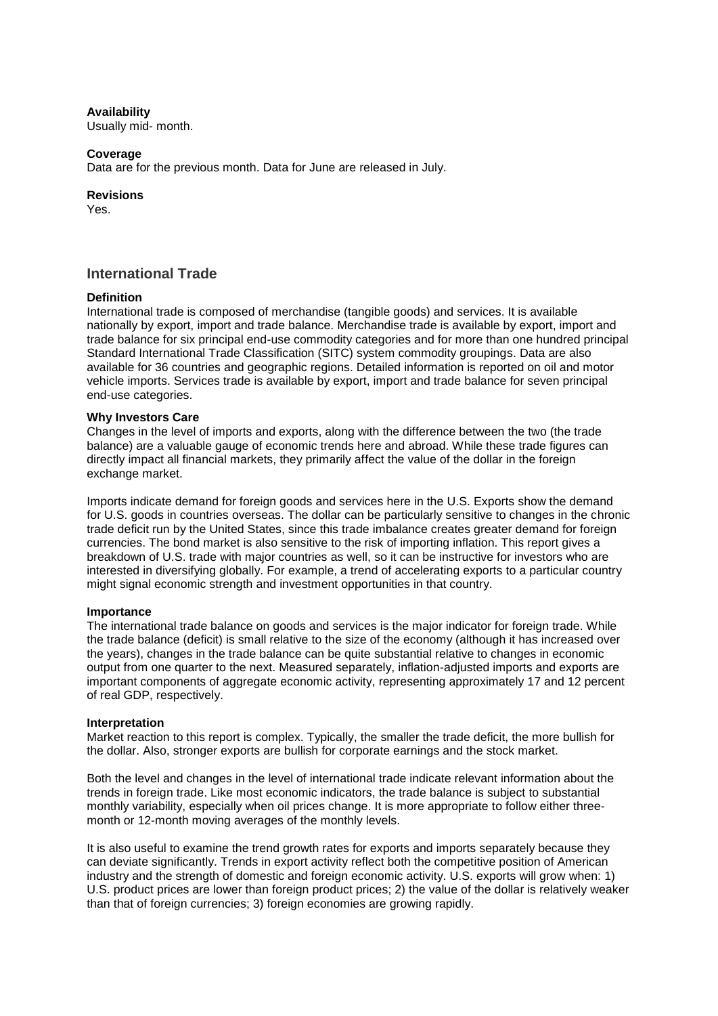## **Availability**

Usually mid- month.

#### **Coverage**

Data are for the previous month. Data for June are released in July.

#### **Revisions**

Yes.

# **International Trade**

#### **Definition**

International trade is composed of merchandise (tangible goods) and services. It is available nationally by export, import and trade balance. Merchandise trade is available by export, import and trade balance for six principal end-use commodity categories and for more than one hundred principal Standard International Trade Classification (SITC) system commodity groupings. Data are also available for 36 countries and geographic regions. Detailed information is reported on oil and motor vehicle imports. Services trade is available by export, import and trade balance for seven principal end-use categories.

#### **Why Investors Care**

Changes in the level of imports and exports, along with the difference between the two (the trade balance) are a valuable gauge of economic trends here and abroad. While these trade figures can directly impact all financial markets, they primarily affect the value of the dollar in the foreign exchange market.

Imports indicate demand for foreign goods and services here in the U.S. Exports show the demand for U.S. goods in countries overseas. The dollar can be particularly sensitive to changes in the chronic trade deficit run by the United States, since this trade imbalance creates greater demand for foreign currencies. The bond market is also sensitive to the risk of importing inflation. This report gives a breakdown of U.S. trade with major countries as well, so it can be instructive for investors who are interested in diversifying globally. For example, a trend of accelerating exports to a particular country might signal economic strength and investment opportunities in that country.

## **Importance**

The international trade balance on goods and services is the major indicator for foreign trade. While the trade balance (deficit) is small relative to the size of the economy (although it has increased over the years), changes in the trade balance can be quite substantial relative to changes in economic output from one quarter to the next. Measured separately, inflation-adjusted imports and exports are important components of aggregate economic activity, representing approximately 17 and 12 percent of real GDP, respectively.

#### **Interpretation**

Market reaction to this report is complex. Typically, the smaller the trade deficit, the more bullish for the dollar. Also, stronger exports are bullish for corporate earnings and the stock market.

Both the level and changes in the level of international trade indicate relevant information about the trends in foreign trade. Like most economic indicators, the trade balance is subject to substantial monthly variability, especially when oil prices change. It is more appropriate to follow either threemonth or 12-month moving averages of the monthly levels.

It is also useful to examine the trend growth rates for exports and imports separately because they can deviate significantly. Trends in export activity reflect both the competitive position of American industry and the strength of domestic and foreign economic activity. U.S. exports will grow when: 1) U.S. product prices are lower than foreign product prices; 2) the value of the dollar is relatively weaker than that of foreign currencies; 3) foreign economies are growing rapidly.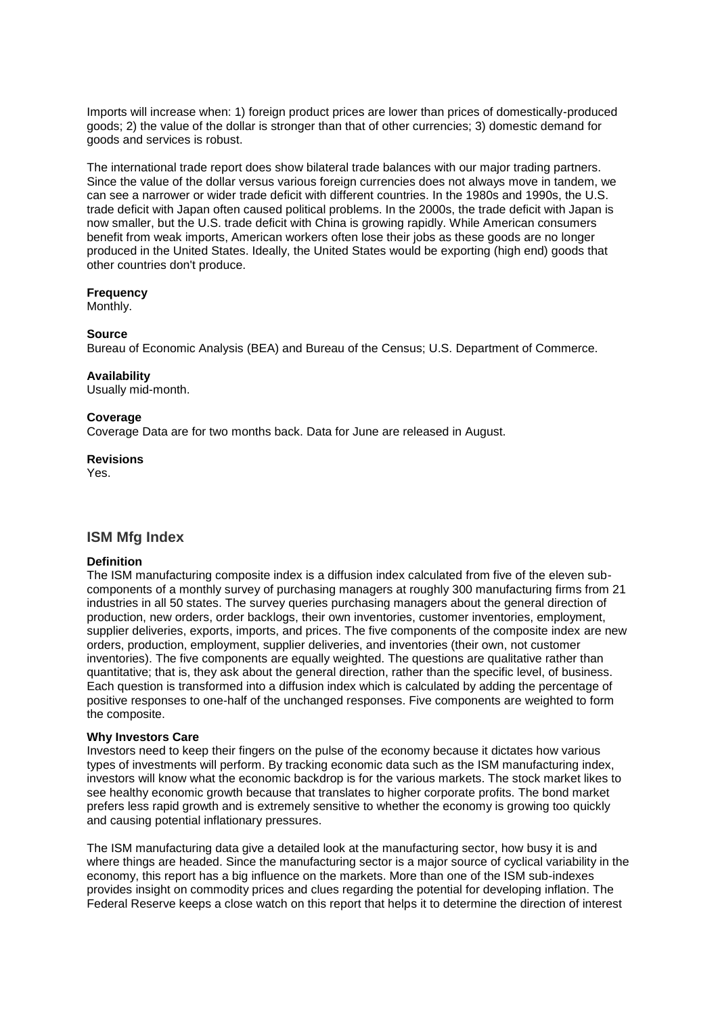Imports will increase when: 1) foreign product prices are lower than prices of domestically-produced goods; 2) the value of the dollar is stronger than that of other currencies; 3) domestic demand for goods and services is robust.

The international trade report does show bilateral trade balances with our major trading partners. Since the value of the dollar versus various foreign currencies does not always move in tandem, we can see a narrower or wider trade deficit with different countries. In the 1980s and 1990s, the U.S. trade deficit with Japan often caused political problems. In the 2000s, the trade deficit with Japan is now smaller, but the U.S. trade deficit with China is growing rapidly. While American consumers benefit from weak imports, American workers often lose their jobs as these goods are no longer produced in the United States. Ideally, the United States would be exporting (high end) goods that other countries don't produce.

## **Frequency**

Monthly.

# **Source**

Bureau of Economic Analysis (BEA) and Bureau of the Census; U.S. Department of Commerce.

# **Availability**

Usually mid-month.

# **Coverage**

Coverage Data are for two months back. Data for June are released in August.

# **Revisions**

Yes.

# **ISM Mfg Index**

# **Definition**

The ISM manufacturing composite index is a diffusion index calculated from five of the eleven subcomponents of a monthly survey of purchasing managers at roughly 300 manufacturing firms from 21 industries in all 50 states. The survey queries purchasing managers about the general direction of production, new orders, order backlogs, their own inventories, customer inventories, employment, supplier deliveries, exports, imports, and prices. The five components of the composite index are new orders, production, employment, supplier deliveries, and inventories (their own, not customer inventories). The five components are equally weighted. The questions are qualitative rather than quantitative; that is, they ask about the general direction, rather than the specific level, of business. Each question is transformed into a diffusion index which is calculated by adding the percentage of positive responses to one-half of the unchanged responses. Five components are weighted to form the composite.

## **Why Investors Care**

Investors need to keep their fingers on the pulse of the economy because it dictates how various types of investments will perform. By tracking economic data such as the ISM manufacturing index, investors will know what the economic backdrop is for the various markets. The stock market likes to see healthy economic growth because that translates to higher corporate profits. The bond market prefers less rapid growth and is extremely sensitive to whether the economy is growing too quickly and causing potential inflationary pressures.

The ISM manufacturing data give a detailed look at the manufacturing sector, how busy it is and where things are headed. Since the manufacturing sector is a major source of cyclical variability in the economy, this report has a big influence on the markets. More than one of the ISM sub-indexes provides insight on commodity prices and clues regarding the potential for developing inflation. The Federal Reserve keeps a close watch on this report that helps it to determine the direction of interest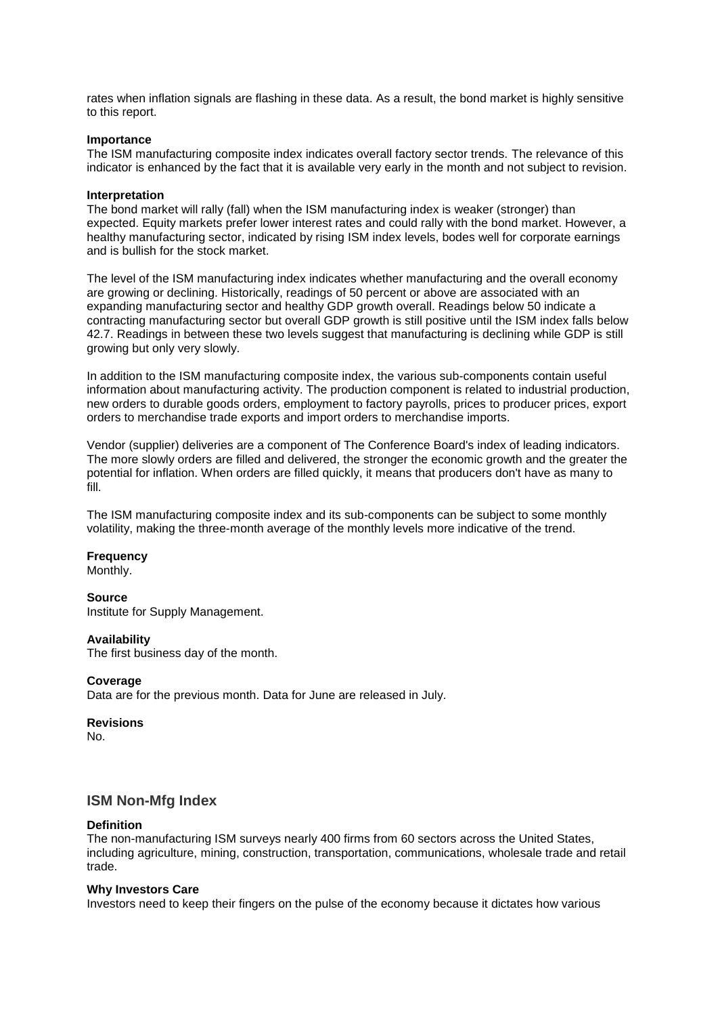rates when inflation signals are flashing in these data. As a result, the bond market is highly sensitive to this report.

#### **Importance**

The ISM manufacturing composite index indicates overall factory sector trends. The relevance of this indicator is enhanced by the fact that it is available very early in the month and not subject to revision.

#### **Interpretation**

The bond market will rally (fall) when the ISM manufacturing index is weaker (stronger) than expected. Equity markets prefer lower interest rates and could rally with the bond market. However, a healthy manufacturing sector, indicated by rising ISM index levels, bodes well for corporate earnings and is bullish for the stock market.

The level of the ISM manufacturing index indicates whether manufacturing and the overall economy are growing or declining. Historically, readings of 50 percent or above are associated with an expanding manufacturing sector and healthy GDP growth overall. Readings below 50 indicate a contracting manufacturing sector but overall GDP growth is still positive until the ISM index falls below 42.7. Readings in between these two levels suggest that manufacturing is declining while GDP is still growing but only very slowly.

In addition to the ISM manufacturing composite index, the various sub-components contain useful information about manufacturing activity. The production component is related to industrial production, new orders to durable goods orders, employment to factory payrolls, prices to producer prices, export orders to merchandise trade exports and import orders to merchandise imports.

Vendor (supplier) deliveries are a component of The Conference Board's index of leading indicators. The more slowly orders are filled and delivered, the stronger the economic growth and the greater the potential for inflation. When orders are filled quickly, it means that producers don't have as many to fill.

The ISM manufacturing composite index and its sub-components can be subject to some monthly volatility, making the three-month average of the monthly levels more indicative of the trend.

#### **Frequency**

Monthly.

#### **Source**

Institute for Supply Management.

#### **Availability**

The first business day of the month.

#### **Coverage**

Data are for the previous month. Data for June are released in July.

#### **Revisions**

No.

# **ISM Non-Mfg Index**

#### **Definition**

The non-manufacturing ISM surveys nearly 400 firms from 60 sectors across the United States, including agriculture, mining, construction, transportation, communications, wholesale trade and retail trade.

#### **Why Investors Care**

Investors need to keep their fingers on the pulse of the economy because it dictates how various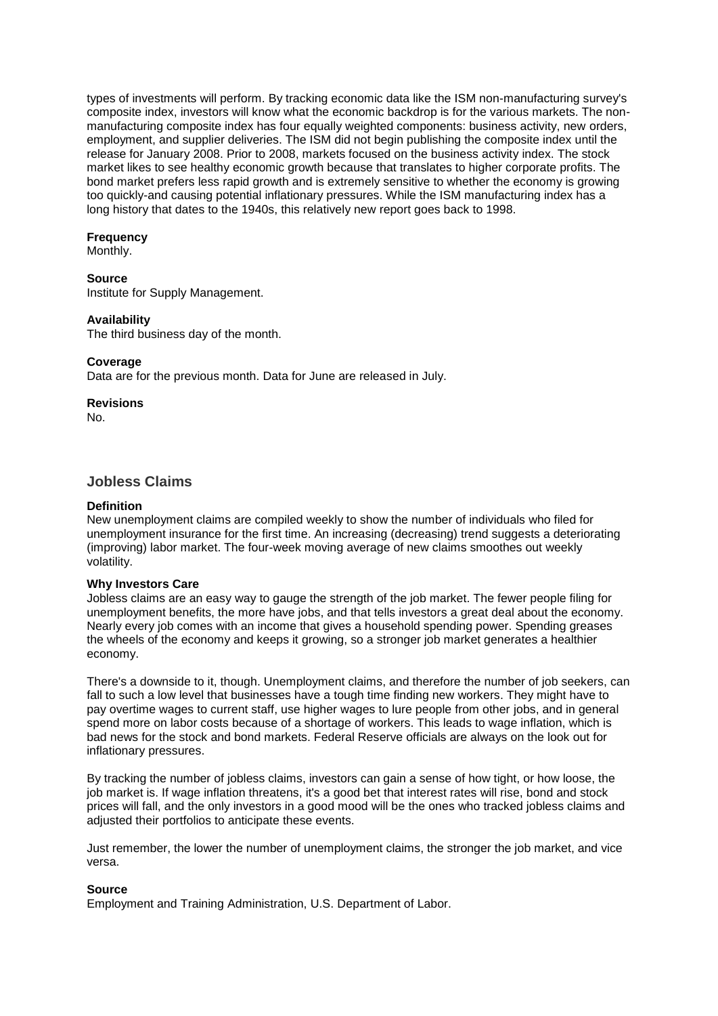types of investments will perform. By tracking economic data like the ISM non-manufacturing survey's composite index, investors will know what the economic backdrop is for the various markets. The nonmanufacturing composite index has four equally weighted components: business activity, new orders, employment, and supplier deliveries. The ISM did not begin publishing the composite index until the release for January 2008. Prior to 2008, markets focused on the business activity index. The stock market likes to see healthy economic growth because that translates to higher corporate profits. The bond market prefers less rapid growth and is extremely sensitive to whether the economy is growing too quickly-and causing potential inflationary pressures. While the ISM manufacturing index has a long history that dates to the 1940s, this relatively new report goes back to 1998.

## **Frequency**

Monthly.

## **Source**

Institute for Supply Management.

## **Availability**

The third business day of the month.

## **Coverage**

Data are for the previous month. Data for June are released in July.

**Revisions**

No.

# **Jobless Claims**

## **Definition**

New unemployment claims are compiled weekly to show the number of individuals who filed for unemployment insurance for the first time. An increasing (decreasing) trend suggests a deteriorating (improving) labor market. The four-week moving average of new claims smoothes out weekly volatility.

## **Why Investors Care**

Jobless claims are an easy way to gauge the strength of the job market. The fewer people filing for unemployment benefits, the more have jobs, and that tells investors a great deal about the economy. Nearly every job comes with an income that gives a household spending power. Spending greases the wheels of the economy and keeps it growing, so a stronger job market generates a healthier economy.

There's a downside to it, though. Unemployment claims, and therefore the number of job seekers, can fall to such a low level that businesses have a tough time finding new workers. They might have to pay overtime wages to current staff, use higher wages to lure people from other jobs, and in general spend more on labor costs because of a shortage of workers. This leads to wage inflation, which is bad news for the stock and bond markets. Federal Reserve officials are always on the look out for inflationary pressures.

By tracking the number of jobless claims, investors can gain a sense of how tight, or how loose, the job market is. If wage inflation threatens, it's a good bet that interest rates will rise, bond and stock prices will fall, and the only investors in a good mood will be the ones who tracked jobless claims and adjusted their portfolios to anticipate these events.

Just remember, the lower the number of unemployment claims, the stronger the job market, and vice versa.

## **Source**

Employment and Training Administration, U.S. Department of Labor.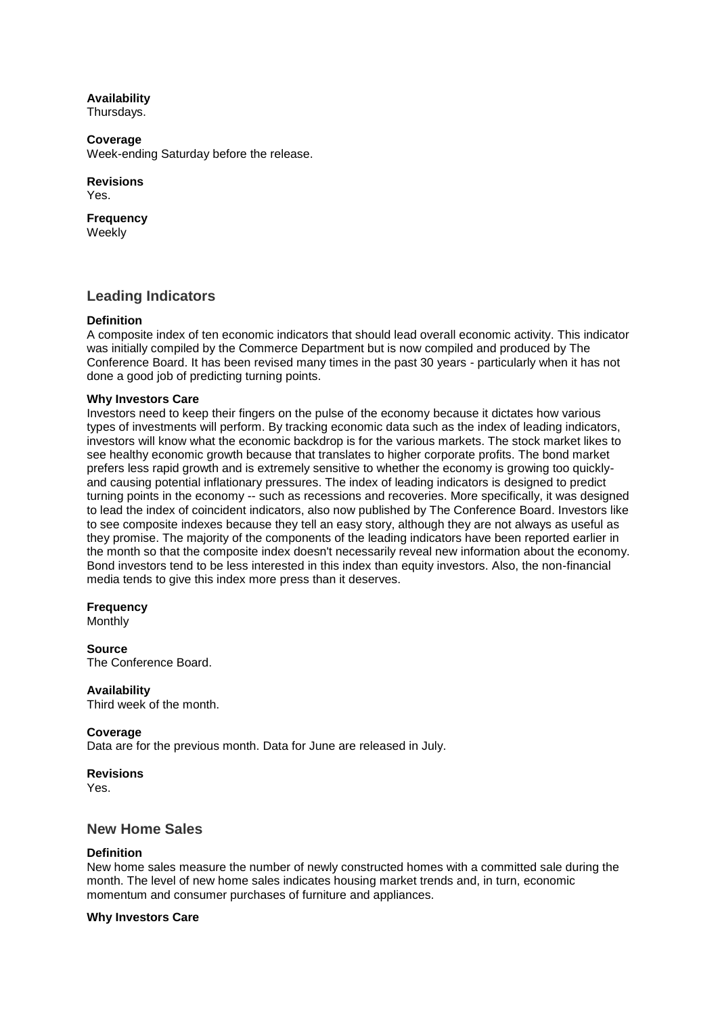**Availability**

Thursdays.

**Coverage** Week-ending Saturday before the release.

# **Revisions**

Yes.

**Frequency** Weekly

# **Leading Indicators**

# **Definition**

A composite index of ten economic indicators that should lead overall economic activity. This indicator was initially compiled by the Commerce Department but is now compiled and produced by The Conference Board. It has been revised many times in the past 30 years - particularly when it has not done a good job of predicting turning points.

# **Why Investors Care**

Investors need to keep their fingers on the pulse of the economy because it dictates how various types of investments will perform. By tracking economic data such as the index of leading indicators, investors will know what the economic backdrop is for the various markets. The stock market likes to see healthy economic growth because that translates to higher corporate profits. The bond market prefers less rapid growth and is extremely sensitive to whether the economy is growing too quicklyand causing potential inflationary pressures. The index of leading indicators is designed to predict turning points in the economy -- such as recessions and recoveries. More specifically, it was designed to lead the index of coincident indicators, also now published by The Conference Board. Investors like to see composite indexes because they tell an easy story, although they are not always as useful as they promise. The majority of the components of the leading indicators have been reported earlier in the month so that the composite index doesn't necessarily reveal new information about the economy. Bond investors tend to be less interested in this index than equity investors. Also, the non-financial media tends to give this index more press than it deserves.

# **Frequency**

**Monthly** 

**Source** The Conference Board.

**Availability**

Third week of the month.

# **Coverage**

Data are for the previous month. Data for June are released in July.

# **Revisions**

Yes.

# **New Home Sales**

# **Definition**

New home sales measure the number of newly constructed homes with a committed sale during the month. The level of new home sales indicates housing market trends and, in turn, economic momentum and consumer purchases of furniture and appliances.

# **Why Investors Care**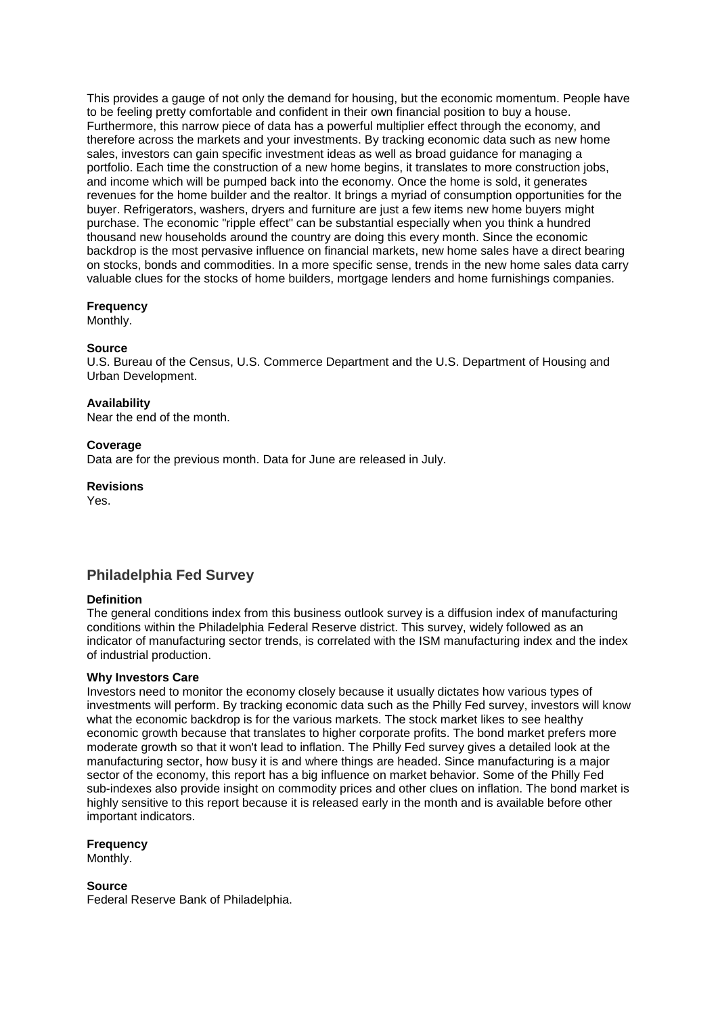This provides a gauge of not only the demand for housing, but the economic momentum. People have to be feeling pretty comfortable and confident in their own financial position to buy a house. Furthermore, this narrow piece of data has a powerful multiplier effect through the economy, and therefore across the markets and your investments. By tracking economic data such as new home sales, investors can gain specific investment ideas as well as broad guidance for managing a portfolio. Each time the construction of a new home begins, it translates to more construction jobs, and income which will be pumped back into the economy. Once the home is sold, it generates revenues for the home builder and the realtor. It brings a myriad of consumption opportunities for the buyer. Refrigerators, washers, dryers and furniture are just a few items new home buyers might purchase. The economic "ripple effect" can be substantial especially when you think a hundred thousand new households around the country are doing this every month. Since the economic backdrop is the most pervasive influence on financial markets, new home sales have a direct bearing on stocks, bonds and commodities. In a more specific sense, trends in the new home sales data carry valuable clues for the stocks of home builders, mortgage lenders and home furnishings companies.

# **Frequency**

Monthly.

# **Source**

U.S. Bureau of the Census, U.S. Commerce Department and the U.S. Department of Housing and Urban Development.

# **Availability**

Near the end of the month.

# **Coverage**

Data are for the previous month. Data for June are released in July.

**Revisions**

Yes.

# **Philadelphia Fed Survey**

## **Definition**

The general conditions index from this business outlook survey is a diffusion index of manufacturing conditions within the Philadelphia Federal Reserve district. This survey, widely followed as an indicator of manufacturing sector trends, is correlated with the ISM manufacturing index and the index of industrial production.

## **Why Investors Care**

Investors need to monitor the economy closely because it usually dictates how various types of investments will perform. By tracking economic data such as the Philly Fed survey, investors will know what the economic backdrop is for the various markets. The stock market likes to see healthy economic growth because that translates to higher corporate profits. The bond market prefers more moderate growth so that it won't lead to inflation. The Philly Fed survey gives a detailed look at the manufacturing sector, how busy it is and where things are headed. Since manufacturing is a major sector of the economy, this report has a big influence on market behavior. Some of the Philly Fed sub-indexes also provide insight on commodity prices and other clues on inflation. The bond market is highly sensitive to this report because it is released early in the month and is available before other important indicators.

**Frequency**

Monthly.

**Source**

Federal Reserve Bank of Philadelphia.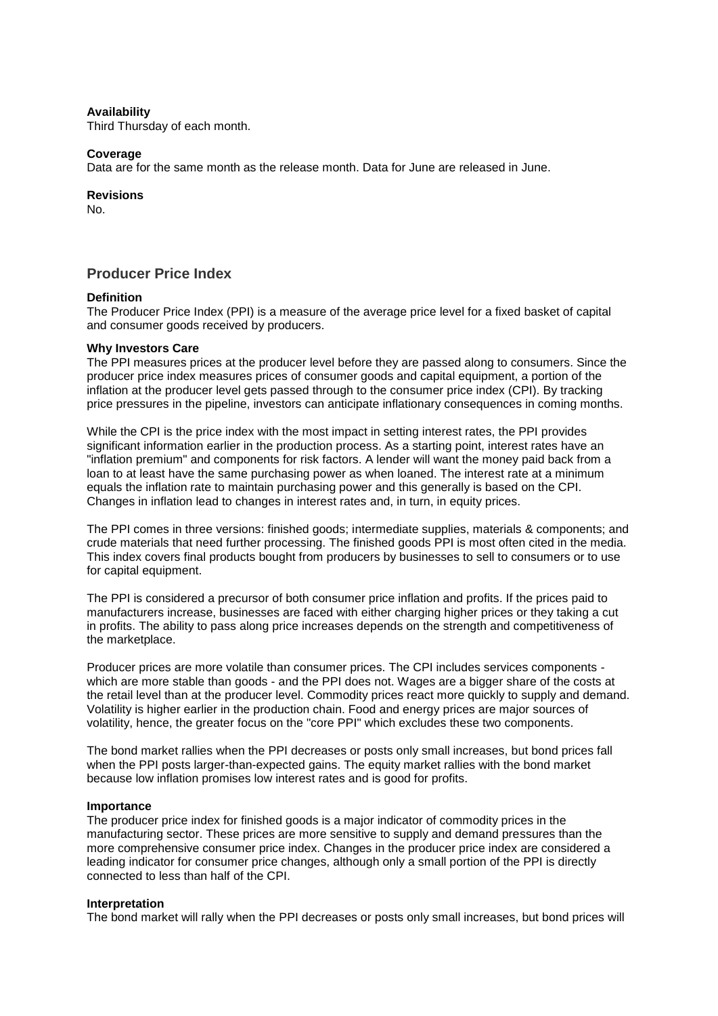## **Availability**

Third Thursday of each month.

#### **Coverage**

Data are for the same month as the release month. Data for June are released in June.

#### **Revisions**

No.

# **Producer Price Index**

## **Definition**

The Producer Price Index (PPI) is a measure of the average price level for a fixed basket of capital and consumer goods received by producers.

#### **Why Investors Care**

The PPI measures prices at the producer level before they are passed along to consumers. Since the producer price index measures prices of consumer goods and capital equipment, a portion of the inflation at the producer level gets passed through to the consumer price index (CPI). By tracking price pressures in the pipeline, investors can anticipate inflationary consequences in coming months.

While the CPI is the price index with the most impact in setting interest rates, the PPI provides significant information earlier in the production process. As a starting point, interest rates have an "inflation premium" and components for risk factors. A lender will want the money paid back from a loan to at least have the same purchasing power as when loaned. The interest rate at a minimum equals the inflation rate to maintain purchasing power and this generally is based on the CPI. Changes in inflation lead to changes in interest rates and, in turn, in equity prices.

The PPI comes in three versions: finished goods; intermediate supplies, materials & components; and crude materials that need further processing. The finished goods PPI is most often cited in the media. This index covers final products bought from producers by businesses to sell to consumers or to use for capital equipment.

The PPI is considered a precursor of both consumer price inflation and profits. If the prices paid to manufacturers increase, businesses are faced with either charging higher prices or they taking a cut in profits. The ability to pass along price increases depends on the strength and competitiveness of the marketplace.

Producer prices are more volatile than consumer prices. The CPI includes services components which are more stable than goods - and the PPI does not. Wages are a bigger share of the costs at the retail level than at the producer level. Commodity prices react more quickly to supply and demand. Volatility is higher earlier in the production chain. Food and energy prices are major sources of volatility, hence, the greater focus on the "core PPI" which excludes these two components.

The bond market rallies when the PPI decreases or posts only small increases, but bond prices fall when the PPI posts larger-than-expected gains. The equity market rallies with the bond market because low inflation promises low interest rates and is good for profits.

## **Importance**

The producer price index for finished goods is a major indicator of commodity prices in the manufacturing sector. These prices are more sensitive to supply and demand pressures than the more comprehensive consumer price index. Changes in the producer price index are considered a leading indicator for consumer price changes, although only a small portion of the PPI is directly connected to less than half of the CPI.

#### **Interpretation**

The bond market will rally when the PPI decreases or posts only small increases, but bond prices will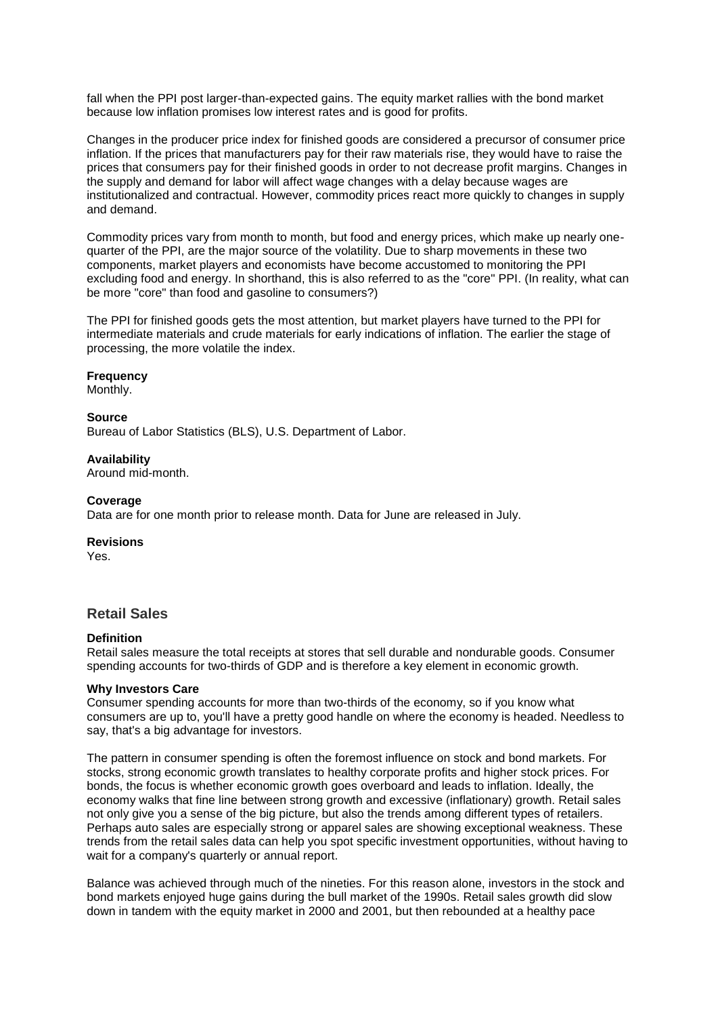fall when the PPI post larger-than-expected gains. The equity market rallies with the bond market because low inflation promises low interest rates and is good for profits.

Changes in the producer price index for finished goods are considered a precursor of consumer price inflation. If the prices that manufacturers pay for their raw materials rise, they would have to raise the prices that consumers pay for their finished goods in order to not decrease profit margins. Changes in the supply and demand for labor will affect wage changes with a delay because wages are institutionalized and contractual. However, commodity prices react more quickly to changes in supply and demand.

Commodity prices vary from month to month, but food and energy prices, which make up nearly onequarter of the PPI, are the major source of the volatility. Due to sharp movements in these two components, market players and economists have become accustomed to monitoring the PPI excluding food and energy. In shorthand, this is also referred to as the "core" PPI. (In reality, what can be more "core" than food and gasoline to consumers?)

The PPI for finished goods gets the most attention, but market players have turned to the PPI for intermediate materials and crude materials for early indications of inflation. The earlier the stage of processing, the more volatile the index.

#### **Frequency**

Monthly.

#### **Source**

Bureau of Labor Statistics (BLS), U.S. Department of Labor.

#### **Availability**

Around mid-month.

#### **Coverage**

Data are for one month prior to release month. Data for June are released in July.

#### **Revisions**

Yes.

# **Retail Sales**

#### **Definition**

Retail sales measure the total receipts at stores that sell durable and nondurable goods. Consumer spending accounts for two-thirds of GDP and is therefore a key element in economic growth.

# **Why Investors Care**

Consumer spending accounts for more than two-thirds of the economy, so if you know what consumers are up to, you'll have a pretty good handle on where the economy is headed. Needless to say, that's a big advantage for investors.

The pattern in consumer spending is often the foremost influence on stock and bond markets. For stocks, strong economic growth translates to healthy corporate profits and higher stock prices. For bonds, the focus is whether economic growth goes overboard and leads to inflation. Ideally, the economy walks that fine line between strong growth and excessive (inflationary) growth. Retail sales not only give you a sense of the big picture, but also the trends among different types of retailers. Perhaps auto sales are especially strong or apparel sales are showing exceptional weakness. These trends from the retail sales data can help you spot specific investment opportunities, without having to wait for a company's quarterly or annual report.

Balance was achieved through much of the nineties. For this reason alone, investors in the stock and bond markets enjoyed huge gains during the bull market of the 1990s. Retail sales growth did slow down in tandem with the equity market in 2000 and 2001, but then rebounded at a healthy pace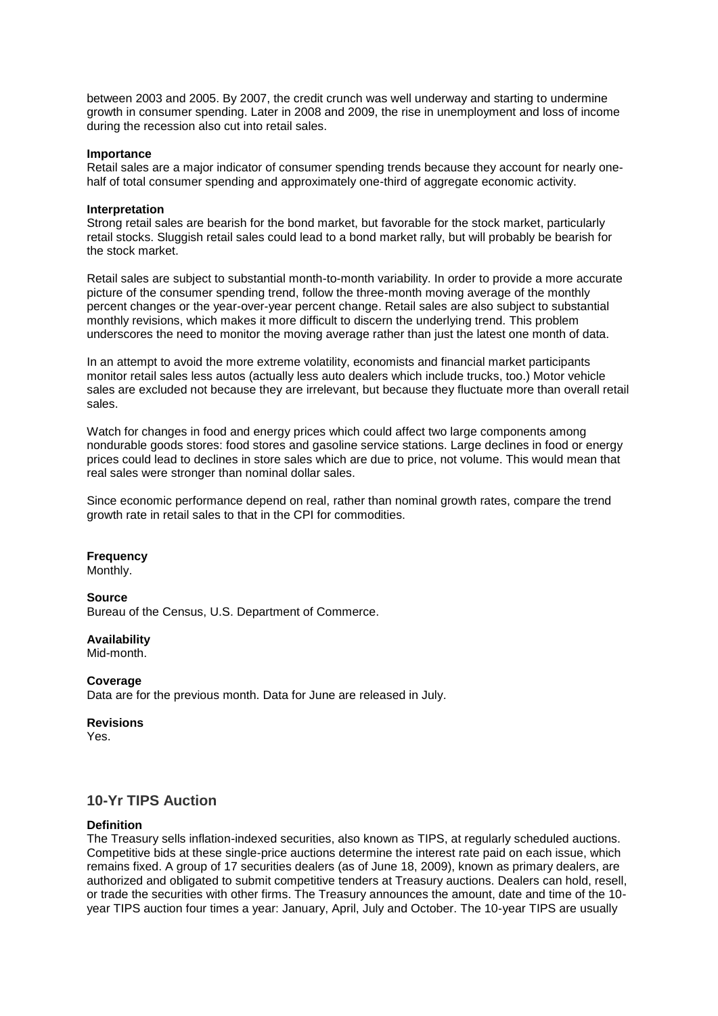between 2003 and 2005. By 2007, the credit crunch was well underway and starting to undermine growth in consumer spending. Later in 2008 and 2009, the rise in unemployment and loss of income during the recession also cut into retail sales.

#### **Importance**

Retail sales are a major indicator of consumer spending trends because they account for nearly onehalf of total consumer spending and approximately one-third of aggregate economic activity.

#### **Interpretation**

Strong retail sales are bearish for the bond market, but favorable for the stock market, particularly retail stocks. Sluggish retail sales could lead to a bond market rally, but will probably be bearish for the stock market.

Retail sales are subject to substantial month-to-month variability. In order to provide a more accurate picture of the consumer spending trend, follow the three-month moving average of the monthly percent changes or the year-over-year percent change. Retail sales are also subject to substantial monthly revisions, which makes it more difficult to discern the underlying trend. This problem underscores the need to monitor the moving average rather than just the latest one month of data.

In an attempt to avoid the more extreme volatility, economists and financial market participants monitor retail sales less autos (actually less auto dealers which include trucks, too.) Motor vehicle sales are excluded not because they are irrelevant, but because they fluctuate more than overall retail sales.

Watch for changes in food and energy prices which could affect two large components among nondurable goods stores: food stores and gasoline service stations. Large declines in food or energy prices could lead to declines in store sales which are due to price, not volume. This would mean that real sales were stronger than nominal dollar sales.

Since economic performance depend on real, rather than nominal growth rates, compare the trend growth rate in retail sales to that in the CPI for commodities.

# **Frequency**

Monthly.

#### **Source**

Bureau of the Census, U.S. Department of Commerce.

## **Availability**

Mid-month.

## **Coverage**

Data are for the previous month. Data for June are released in July.

#### **Revisions**

Yes.

# **10-Yr TIPS Auction**

#### **Definition**

The Treasury sells inflation-indexed securities, also known as TIPS, at regularly scheduled auctions. Competitive bids at these single-price auctions determine the interest rate paid on each issue, which remains fixed. A group of 17 securities dealers (as of June 18, 2009), known as primary dealers, are authorized and obligated to submit competitive tenders at Treasury auctions. Dealers can hold, resell, or trade the securities with other firms. The Treasury announces the amount, date and time of the 10 year TIPS auction four times a year: January, April, July and October. The 10-year TIPS are usually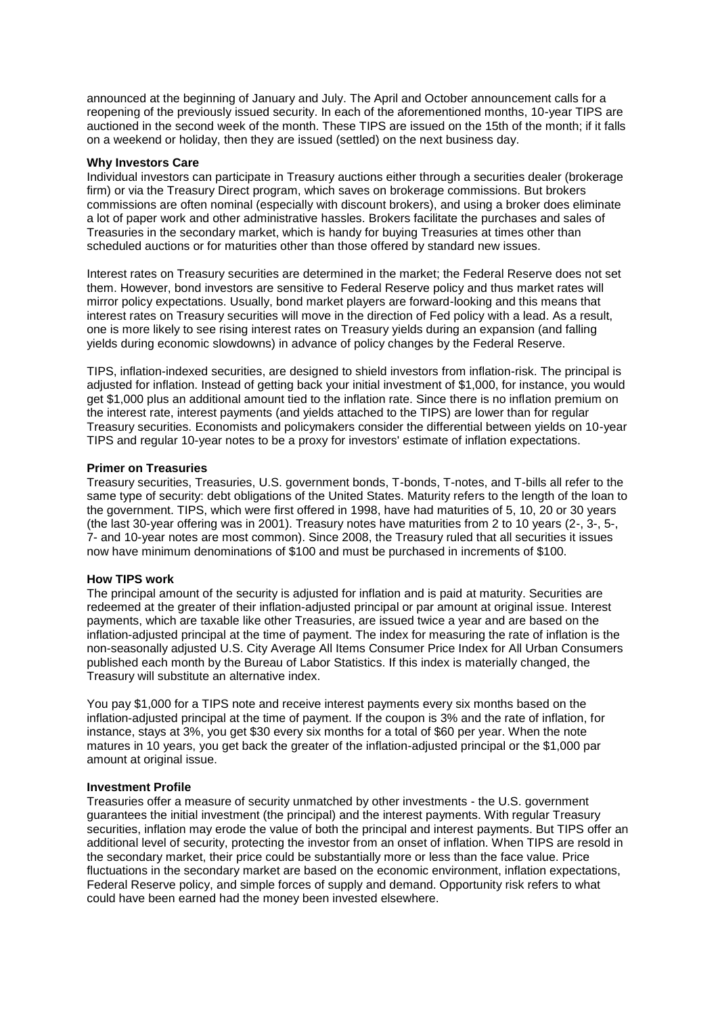announced at the beginning of January and July. The April and October announcement calls for a reopening of the previously issued security. In each of the aforementioned months, 10-year TIPS are auctioned in the second week of the month. These TIPS are issued on the 15th of the month; if it falls on a weekend or holiday, then they are issued (settled) on the next business day.

#### **Why Investors Care**

Individual investors can participate in Treasury auctions either through a securities dealer (brokerage firm) or via the Treasury Direct program, which saves on brokerage commissions. But brokers commissions are often nominal (especially with discount brokers), and using a broker does eliminate a lot of paper work and other administrative hassles. Brokers facilitate the purchases and sales of Treasuries in the secondary market, which is handy for buying Treasuries at times other than scheduled auctions or for maturities other than those offered by standard new issues.

Interest rates on Treasury securities are determined in the market; the Federal Reserve does not set them. However, bond investors are sensitive to Federal Reserve policy and thus market rates will mirror policy expectations. Usually, bond market players are forward-looking and this means that interest rates on Treasury securities will move in the direction of Fed policy with a lead. As a result, one is more likely to see rising interest rates on Treasury yields during an expansion (and falling yields during economic slowdowns) in advance of policy changes by the Federal Reserve.

TIPS, inflation-indexed securities, are designed to shield investors from inflation-risk. The principal is adjusted for inflation. Instead of getting back your initial investment of \$1,000, for instance, you would get \$1,000 plus an additional amount tied to the inflation rate. Since there is no inflation premium on the interest rate, interest payments (and yields attached to the TIPS) are lower than for regular Treasury securities. Economists and policymakers consider the differential between yields on 10-year TIPS and regular 10-year notes to be a proxy for investors' estimate of inflation expectations.

# **Primer on Treasuries**

Treasury securities, Treasuries, U.S. government bonds, T-bonds, T-notes, and T-bills all refer to the same type of security: debt obligations of the United States. Maturity refers to the length of the loan to the government. TIPS, which were first offered in 1998, have had maturities of 5, 10, 20 or 30 years (the last 30-year offering was in 2001). Treasury notes have maturities from 2 to 10 years (2-, 3-, 5-, 7- and 10-year notes are most common). Since 2008, the Treasury ruled that all securities it issues now have minimum denominations of \$100 and must be purchased in increments of \$100.

#### **How TIPS work**

The principal amount of the security is adjusted for inflation and is paid at maturity. Securities are redeemed at the greater of their inflation-adjusted principal or par amount at original issue. Interest payments, which are taxable like other Treasuries, are issued twice a year and are based on the inflation-adjusted principal at the time of payment. The index for measuring the rate of inflation is the non-seasonally adjusted U.S. City Average All Items Consumer Price Index for All Urban Consumers published each month by the Bureau of Labor Statistics. If this index is materially changed, the Treasury will substitute an alternative index.

You pay \$1,000 for a TIPS note and receive interest payments every six months based on the inflation-adjusted principal at the time of payment. If the coupon is 3% and the rate of inflation, for instance, stays at 3%, you get \$30 every six months for a total of \$60 per year. When the note matures in 10 years, you get back the greater of the inflation-adjusted principal or the \$1,000 par amount at original issue.

#### **Investment Profile**

Treasuries offer a measure of security unmatched by other investments - the U.S. government guarantees the initial investment (the principal) and the interest payments. With regular Treasury securities, inflation may erode the value of both the principal and interest payments. But TIPS offer an additional level of security, protecting the investor from an onset of inflation. When TIPS are resold in the secondary market, their price could be substantially more or less than the face value. Price fluctuations in the secondary market are based on the economic environment, inflation expectations, Federal Reserve policy, and simple forces of supply and demand. Opportunity risk refers to what could have been earned had the money been invested elsewhere.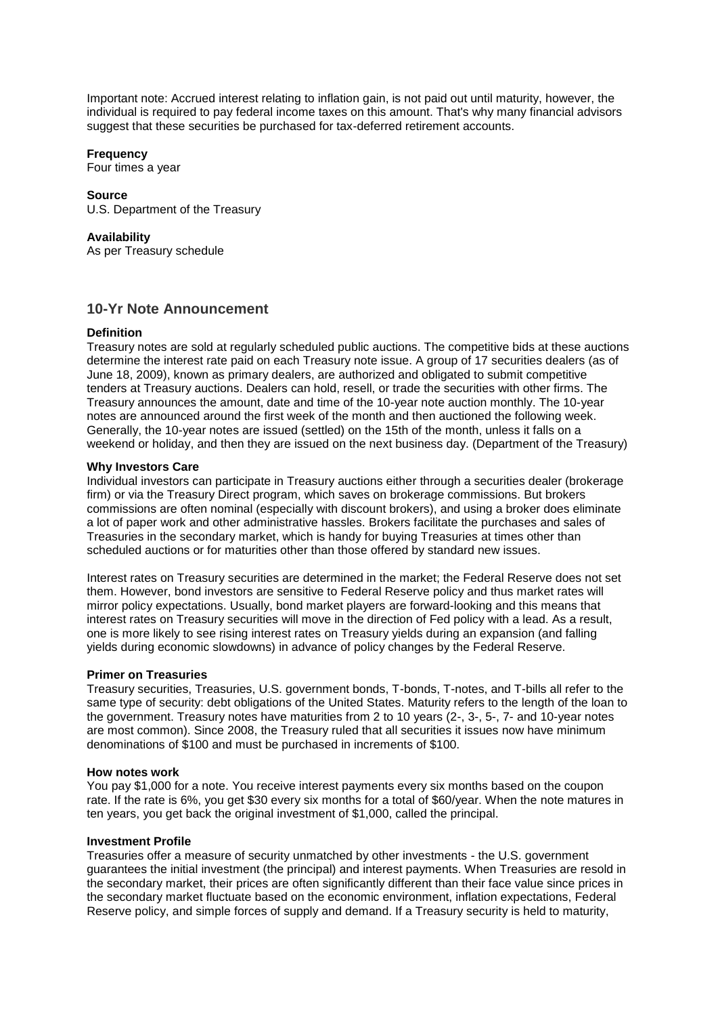Important note: Accrued interest relating to inflation gain, is not paid out until maturity, however, the individual is required to pay federal income taxes on this amount. That's why many financial advisors suggest that these securities be purchased for tax-deferred retirement accounts.

## **Frequency**

Four times a year

## **Source**

U.S. Department of the Treasury

## **Availability**

As per Treasury schedule

# **10-Yr Note Announcement**

## **Definition**

Treasury notes are sold at regularly scheduled public auctions. The competitive bids at these auctions determine the interest rate paid on each Treasury note issue. A group of 17 securities dealers (as of June 18, 2009), known as primary dealers, are authorized and obligated to submit competitive tenders at Treasury auctions. Dealers can hold, resell, or trade the securities with other firms. The Treasury announces the amount, date and time of the 10-year note auction monthly. The 10-year notes are announced around the first week of the month and then auctioned the following week. Generally, the 10-year notes are issued (settled) on the 15th of the month, unless it falls on a weekend or holiday, and then they are issued on the next business day. (Department of the Treasury)

## **Why Investors Care**

Individual investors can participate in Treasury auctions either through a securities dealer (brokerage firm) or via the Treasury Direct program, which saves on brokerage commissions. But brokers commissions are often nominal (especially with discount brokers), and using a broker does eliminate a lot of paper work and other administrative hassles. Brokers facilitate the purchases and sales of Treasuries in the secondary market, which is handy for buying Treasuries at times other than scheduled auctions or for maturities other than those offered by standard new issues.

Interest rates on Treasury securities are determined in the market; the Federal Reserve does not set them. However, bond investors are sensitive to Federal Reserve policy and thus market rates will mirror policy expectations. Usually, bond market players are forward-looking and this means that interest rates on Treasury securities will move in the direction of Fed policy with a lead. As a result, one is more likely to see rising interest rates on Treasury yields during an expansion (and falling yields during economic slowdowns) in advance of policy changes by the Federal Reserve.

## **Primer on Treasuries**

Treasury securities, Treasuries, U.S. government bonds, T-bonds, T-notes, and T-bills all refer to the same type of security: debt obligations of the United States. Maturity refers to the length of the loan to the government. Treasury notes have maturities from 2 to 10 years (2-, 3-, 5-, 7- and 10-year notes are most common). Since 2008, the Treasury ruled that all securities it issues now have minimum denominations of \$100 and must be purchased in increments of \$100.

## **How notes work**

You pay \$1,000 for a note. You receive interest payments every six months based on the coupon rate. If the rate is 6%, you get \$30 every six months for a total of \$60/year. When the note matures in ten years, you get back the original investment of \$1,000, called the principal.

## **Investment Profile**

Treasuries offer a measure of security unmatched by other investments - the U.S. government guarantees the initial investment (the principal) and interest payments. When Treasuries are resold in the secondary market, their prices are often significantly different than their face value since prices in the secondary market fluctuate based on the economic environment, inflation expectations, Federal Reserve policy, and simple forces of supply and demand. If a Treasury security is held to maturity,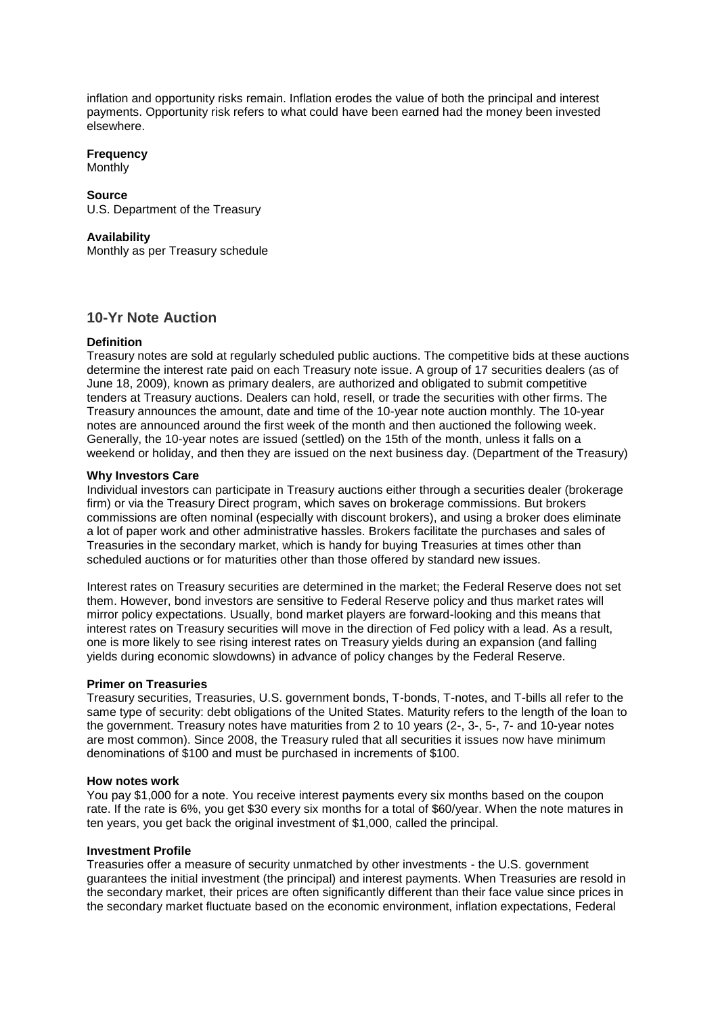inflation and opportunity risks remain. Inflation erodes the value of both the principal and interest payments. Opportunity risk refers to what could have been earned had the money been invested elsewhere.

# **Frequency**

**Monthly** 

# **Source**

U.S. Department of the Treasury

#### **Availability**

Monthly as per Treasury schedule

# **10-Yr Note Auction**

# **Definition**

Treasury notes are sold at regularly scheduled public auctions. The competitive bids at these auctions determine the interest rate paid on each Treasury note issue. A group of 17 securities dealers (as of June 18, 2009), known as primary dealers, are authorized and obligated to submit competitive tenders at Treasury auctions. Dealers can hold, resell, or trade the securities with other firms. The Treasury announces the amount, date and time of the 10-year note auction monthly. The 10-year notes are announced around the first week of the month and then auctioned the following week. Generally, the 10-year notes are issued (settled) on the 15th of the month, unless it falls on a weekend or holiday, and then they are issued on the next business day. (Department of the Treasury)

## **Why Investors Care**

Individual investors can participate in Treasury auctions either through a securities dealer (brokerage firm) or via the Treasury Direct program, which saves on brokerage commissions. But brokers commissions are often nominal (especially with discount brokers), and using a broker does eliminate a lot of paper work and other administrative hassles. Brokers facilitate the purchases and sales of Treasuries in the secondary market, which is handy for buying Treasuries at times other than scheduled auctions or for maturities other than those offered by standard new issues.

Interest rates on Treasury securities are determined in the market; the Federal Reserve does not set them. However, bond investors are sensitive to Federal Reserve policy and thus market rates will mirror policy expectations. Usually, bond market players are forward-looking and this means that interest rates on Treasury securities will move in the direction of Fed policy with a lead. As a result, one is more likely to see rising interest rates on Treasury yields during an expansion (and falling yields during economic slowdowns) in advance of policy changes by the Federal Reserve.

## **Primer on Treasuries**

Treasury securities, Treasuries, U.S. government bonds, T-bonds, T-notes, and T-bills all refer to the same type of security: debt obligations of the United States. Maturity refers to the length of the loan to the government. Treasury notes have maturities from 2 to 10 years (2-, 3-, 5-, 7- and 10-year notes are most common). Since 2008, the Treasury ruled that all securities it issues now have minimum denominations of \$100 and must be purchased in increments of \$100.

## **How notes work**

You pay \$1,000 for a note. You receive interest payments every six months based on the coupon rate. If the rate is 6%, you get \$30 every six months for a total of \$60/year. When the note matures in ten years, you get back the original investment of \$1,000, called the principal.

# **Investment Profile**

Treasuries offer a measure of security unmatched by other investments - the U.S. government guarantees the initial investment (the principal) and interest payments. When Treasuries are resold in the secondary market, their prices are often significantly different than their face value since prices in the secondary market fluctuate based on the economic environment, inflation expectations, Federal